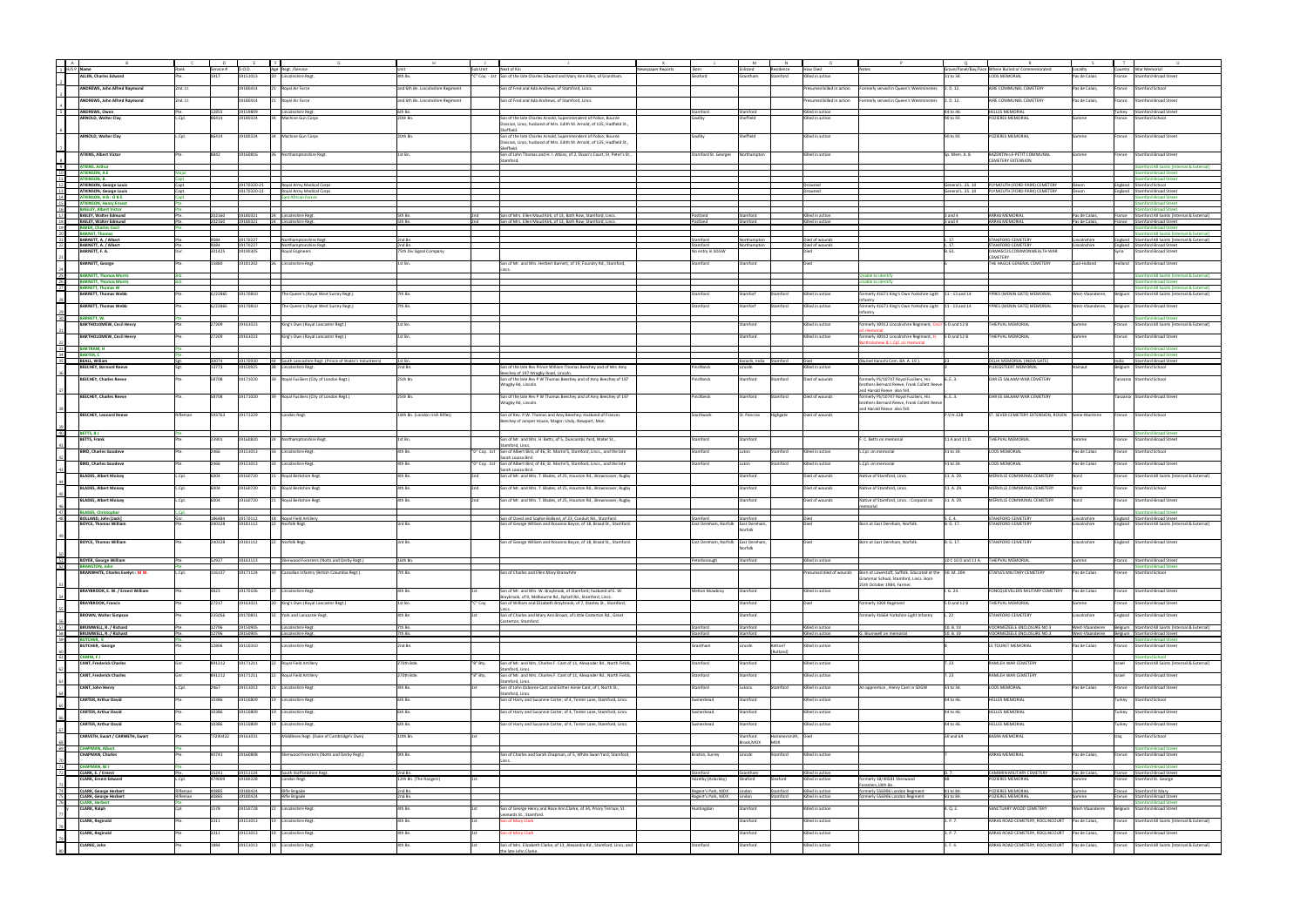| A               |                                                                |                |                  |                      |                                                          |                                   |              |                                                                                                                                             |                                     |                             |                   |                                      |                                                                                     |                        |                                                    |                                  |                |                                                                                  |
|-----------------|----------------------------------------------------------------|----------------|------------------|----------------------|----------------------------------------------------------|-----------------------------------|--------------|---------------------------------------------------------------------------------------------------------------------------------------------|-------------------------------------|-----------------------------|-------------------|--------------------------------------|-------------------------------------------------------------------------------------|------------------------|----------------------------------------------------|----------------------------------|----------------|----------------------------------------------------------------------------------|
|                 | 1 H/S P Name                                                   | Rank           | Service # D.O.D. |                      | Age Regt. /Service                                       |                                   | Sub Unit     | Next of Kin<br>Newspaper Reports                                                                                                            | Born                                | inlisted                    | Residence         | <b>How Died</b>                      |                                                                                     |                        | Grave/Panel/Bay/Face Where Buried or Commemorated  | Locality                         |                | ountry   War Memorial                                                            |
|                 | ALLEN, Charles Edward                                          |                | 1917             | 19151013             | 20 Lincolnshire Regt                                     | 4th Bn.                           |              | 'C" Coy. - 1st Son of the late Charles Edward and Mary Ann Allen, of Grantham.                                                              | Sleaford                            | Grantham                    | Stamford          | Killed in action                     |                                                                                     | 31 to 34.              | <b>LOOS MEMORIAL</b>                               | Pas de Calais                    | rance          | <b>Stamford-Broad Street</b>                                                     |
|                 |                                                                |                |                  | 19180414             |                                                          |                                   |              |                                                                                                                                             |                                     |                             |                   |                                      |                                                                                     |                        |                                                    |                                  |                |                                                                                  |
|                 | ANDREWS, John Alfred Raymond                                   | 2nd. Lt        |                  |                      | Royal Air Force                                          | and 6th Bn. Lincolnshire Regiment |              | Son of Fred and Ada Andrews, of Stamford, Lincs.                                                                                            |                                     |                             |                   | resumed killed in action             | ormerly served in Queen's Westminsters 2. D. 12.                                    |                        | AIRE COMMUNAL CEMETERY                             | Pas de Calais,                   | rance          | Stamford School                                                                  |
|                 | ANDREWS, John Alfred Raymond                                   | 2nd. Lt.       |                  | 19180414             | Royal Air Force                                          | and 6th Bn. Lincolnshire Regiment |              | Son of Fred and Ada Andrews, of Stamford, Lincs.                                                                                            |                                     |                             |                   | Presumed killed in action            | Formerly served in Queen's Westminsters 2. D. 12.                                   |                        | AIRE COMMUNAL CEMETERY                             | Pas de Calais,                   | France         | <b>Stamford-Broad Street</b>                                                     |
| 5               |                                                                |                |                  | 19159809             |                                                          |                                   |              |                                                                                                                                             |                                     |                             |                   |                                      |                                                                                     |                        |                                                    |                                  |                |                                                                                  |
|                 | <b>ANDREWS, Owen</b><br>ARNOLD, Walter Clay                    | Pte.<br>L.Cpl. | 12855<br>86414   | 19180324             | Lincolnshire Regt.<br>34 Machine Gun Corps               | 6th Bn.<br>20th Bn.               |              | Son of the late Charles Arnold, Superintendent of Police, Bourne                                                                            | Stamford                            | Stamford<br>heffield        |                   | Killed in action<br>Gilled in action |                                                                                     | 44 to 46.<br>90 to 93  | <b>HELLES MEMORIAL</b><br>POZIERES MEMORIAL        |                                  | urkey          | Stamford-Broad Street<br>rance Stamford School                                   |
|                 |                                                                |                |                  |                      |                                                          |                                   |              | Division, Lincs; husband of Mrs. Edith M. Arnold, of 135, Hadfield St.,                                                                     |                                     |                             |                   |                                      |                                                                                     |                        |                                                    |                                  |                |                                                                                  |
|                 |                                                                |                |                  |                      |                                                          |                                   |              | Sheffield.                                                                                                                                  |                                     |                             |                   |                                      |                                                                                     |                        |                                                    |                                  |                |                                                                                  |
|                 | ARNOLD, Walter Clay                                            | L.Cpl.         | 86414            | 19180324             | 34 Machine Gun Corps                                     | 20th Bn.                          |              | Son of the late Charles Arnold, Superintendent of Police, Bourne<br>Division, Lincs; husband of Mrs. Edith M. Arnold, of 135, Hadfield St., | Saxilby                             | Sheffield                   |                   | Killed in action                     |                                                                                     | 90 to 93               | POZIERES MEMORIAL                                  | Somme                            |                | rance Stamford-Broad Street                                                      |
|                 |                                                                |                |                  |                      |                                                          |                                   |              | heffield                                                                                                                                    |                                     |                             |                   |                                      |                                                                                     |                        |                                                    |                                  |                |                                                                                  |
|                 | <b>ATKINS, Albert Victor</b>                                   |                |                  | 19160816             | 26 Northamptonshire Regt.                                | 1st Bn.                           |              | Son of John Thomas and H. I. Atkins, of 2, Dixon's Court, St. Peter's St.,                                                                  | Stamford St. Georges                | Northampton                 |                   | Gilled in action                     |                                                                                     | Sp. Mem. A. 8.         | BAZENTIN-LE-PETIT COMMUNAL                         |                                  | ance           | Stamford-Broad Street                                                            |
| 9               | <b>ATKINS, Arthur</b>                                          |                |                  |                      |                                                          |                                   |              | ımford                                                                                                                                      |                                     |                             |                   |                                      |                                                                                     |                        | <b><i>EMETERY EXTENSION</i></b>                    |                                  |                |                                                                                  |
| 10              | <b>ATKINSON, A E</b>                                           | Major          |                  |                      |                                                          |                                   |              |                                                                                                                                             |                                     |                             |                   |                                      |                                                                                     |                        |                                                    |                                  |                | amford All Saints [Internal & Externa<br>amford-Broad Stree!                     |
| 11              | <b>ATKINSON, B.</b>                                            |                |                  |                      |                                                          |                                   |              |                                                                                                                                             |                                     |                             |                   |                                      |                                                                                     |                        |                                                    |                                  |                | <b>Stamford-Broad Street</b>                                                     |
| 12              | <b>ATKINSON, George Louis</b>                                  | Capt.          |                  |                      | 19170320-21 Royal Army Medical Corps                     |                                   |              |                                                                                                                                             |                                     |                             |                   | Drowned                              |                                                                                     |                        | ieneral L. 25. 10 PLYMOUTH (FORD PARK) CEMETERY    | Devon                            |                | England Stamford School                                                          |
| $\frac{13}{14}$ | <b>ATKINSON, George Louis</b><br><b>ATKINSON, H B : O B E</b>  | Capt.<br>Capt  |                  | 19170320-21          | Royal Army Medical Corp<br>East African Forces           |                                   |              |                                                                                                                                             |                                     |                             |                   | rowned                               |                                                                                     | General L. 25. 10      | PLYMOUTH (FORD PARK) CEMETERY                      | Devon                            |                | England Stamford-Broad Street<br>nford-Broad Street                              |
| 15              | <b>ATKINSON, Henry Ernest</b>                                  |                |                  |                      |                                                          |                                   |              |                                                                                                                                             |                                     |                             |                   |                                      |                                                                                     |                        |                                                    |                                  |                | tamford-Broad Street                                                             |
| 16              | <b>BAGLEY, Albert Victor</b>                                   |                |                  |                      |                                                          |                                   |              |                                                                                                                                             |                                     |                             |                   |                                      |                                                                                     |                        |                                                    |                                  |                | Stamford-Broad Stree                                                             |
| 17<br>18        | <b>BAILEY, Walter Edmund</b><br><b>BAILEY, Walter Edmund</b>   | Pte.<br>Pte    | 202160<br>202160 | 19180321<br>19180321 | 24 Lincolnshire Regt.<br>24 Lincolnshire Regt            | 5th Bn<br>5th Bn.                 |              | Son of Mrs. Ellen Maud Kirk, of 13, Bath Row, Stamford, Lincs.<br>Son of Mrs. Ellen Maud Kirk, of 13, Bath Row, Stamford, Lincs.            | Postland                            | Stamford<br>Stamford        |                   | Killed in action<br>Killed in action |                                                                                     | 3 and 4<br>$3$ and $4$ | ARRAS MEMORIAL<br><b>ARRAS MEMORIA</b>             | Pas de Calais,<br>Pas de Calais, |                | France Stamford All Saints [Internal & External]<br>France Stamford-Broad Street |
| $\frac{19}{20}$ | <b>BAKER, Charles Ceci</b>                                     |                |                  |                      |                                                          |                                   |              |                                                                                                                                             |                                     |                             |                   |                                      |                                                                                     |                        |                                                    |                                  |                | nford-Broad Street                                                               |
|                 | <b>BARNET, Thomas</b>                                          |                |                  |                      |                                                          |                                   |              |                                                                                                                                             |                                     |                             |                   |                                      |                                                                                     |                        |                                                    |                                  |                | amford All Saints [Internal & External]                                          |
| 21<br>22        | BARNETT, A. / Albert<br><b>BARNETT, A. / Albert</b>            | Pte.           | 9084<br>9084     | 19170227<br>19170227 | Northamptonshire Regt                                    | 2nd Bn.<br>2nd Bn                 |              |                                                                                                                                             | Stamford<br>Stamford                | Northampton                 |                   | Died of wounds<br>Died of wounds     |                                                                                     | 1.17.<br>1.17.         | <b>STAMFORD CEMETERY</b><br>STAMFORD CEMETERY      | Lincolnshire<br>incolnshire      |                | England Stamford All Saints [Internal & External]                                |
|                 | BARNETT, F. A.                                                 |                | 301425           | 19190305             | Northamptonshire Regt<br><b>Royal Engineers</b>          | 75th Div Signal Company           |              |                                                                                                                                             | No entry in SDGW                    | Northampton                 |                   |                                      |                                                                                     | B. 61.                 | DAMASCUS COMMONWEALTH WAR                          |                                  | vria           | England Stamford-Broad Street<br>Stamford-Broad Street                           |
|                 |                                                                |                |                  |                      |                                                          |                                   |              |                                                                                                                                             |                                     |                             |                   |                                      |                                                                                     |                        | CEMETERY                                           |                                  |                |                                                                                  |
|                 | <b>BARNETT, George</b>                                         |                | 15880            | 19181202             | 26 Lincolnshire Regt.                                    | 1st Bn.                           |              | ion of Mr. and Mrs. Herbert Barnett, of 19, Foundry Rd., Stamford,                                                                          | Stamford                            | Stamford                    |                   |                                      |                                                                                     |                        | THE HAGUE GENERAL CEMETERY                         | Zuid-Holland                     |                | Iolland Stamford-Broad Street                                                    |
| 25              | <b>BARNETT, Thomas Morris</b>                                  |                |                  |                      |                                                          |                                   |              |                                                                                                                                             |                                     |                             |                   |                                      | able to identify                                                                    |                        |                                                    |                                  |                | amford All Saints [Internal & External]                                          |
| 26              | <b>BARNETT, Thomas Morris</b>                                  |                |                  |                      |                                                          |                                   |              |                                                                                                                                             |                                     |                             |                   |                                      | ıble to identify                                                                    |                        |                                                    |                                  |                | mford-Broad Street                                                               |
| 27              | <b>BARRETT, Thomas W</b>                                       |                |                  |                      |                                                          |                                   |              |                                                                                                                                             |                                     |                             |                   |                                      |                                                                                     |                        |                                                    |                                  |                | Stamford All Saints [Internal & External]                                        |
|                 | <b>BARRETT, Thomas Webb</b>                                    |                | G/22865          | 19170810             | The Queen's (Royal West Surrey Regt.)                    | 7th Bn.                           |              |                                                                                                                                             | Stamford                            | Stamforf                    | Stamford          | Killed in action                     | rmerly 41671 King's Own Yorkshire Light 11 - 13 and 14                              |                        | YPRES (MENIN GATE) MEMORIAL                        | West-Vlaanderen,                 |                | Belgium Stamford All Saints [Internal & External]                                |
|                 | <b>BARRETT, Thomas Webb</b>                                    |                | 5/22865          | 19170810             | The Queen's (Royal West Surrey Regt.)                    | 7th Bn.                           |              |                                                                                                                                             | Stamford                            | Stamforf                    | Stamford          | illed in action                      | If The Postal of 11 - 13 and 14                                                     |                        | YPRES (MENIN GATE) MEMORIAL                        | Vest-Vlaanderen,                 | Belgium        | Stamford-Broad Street                                                            |
|                 |                                                                |                |                  |                      |                                                          |                                   |              |                                                                                                                                             |                                     |                             |                   |                                      |                                                                                     |                        |                                                    |                                  |                |                                                                                  |
| 30 <sup>°</sup> | <b>BARRETT, W.</b>                                             |                |                  |                      |                                                          |                                   |              |                                                                                                                                             |                                     |                             |                   |                                      |                                                                                     |                        |                                                    |                                  |                | amford-Broad Street                                                              |
|                 | <b>BARTHOLOMEW, Cecil Henry</b>                                |                | 27209            | 19161023             | King's Own (Royal Lancaster Regt.)                       | 1st Bn.                           |              |                                                                                                                                             |                                     | Stamford                    |                   | Killed in action                     | ormerly 30912 Lincolnshire Regiment, Cecil S D and 12 B                             |                        | THIEPVAL MEMORIAL                                  | Somme                            | rance          | Stamford All Saints [Internal & External]                                        |
|                 | <b>BARTHOLOMEW, Cecil Henry</b>                                |                | 27209            | 19161023             | King's Own (Royal Lancaster Regt.)                       | 1st Bn.                           |              |                                                                                                                                             |                                     | Stamford                    |                   | Killed in action                     | rmerly 30912 Lincolnshire Regiment, H.                                              | 5 D and 12 B           | THIEPVAL MEMORIAL                                  | Somme                            |                | rance Stamford-Broad Street                                                      |
|                 |                                                                |                |                  |                      |                                                          |                                   |              |                                                                                                                                             |                                     |                             |                   |                                      | omew & L.Cpl. on memor                                                              |                        |                                                    |                                  |                |                                                                                  |
| 33<br>34        | <b>BARTRAM, H</b><br>BAXTER, C                                 |                |                  |                      |                                                          |                                   |              |                                                                                                                                             |                                     |                             |                   |                                      |                                                                                     |                        |                                                    |                                  |                | Stamford-Broad Street<br>mford-Broad Street                                      |
| 35              | <b>BEALL, Wiliam</b>                                           |                | 30074            | 19170930             | 44 South Lancashire Regt. (Prince of Wales's Volunteers) | 11st Bn.                          |              |                                                                                                                                             |                                     | Karachi, India Stamford     |                   |                                      | (Buried Karachi Cem. BA. A. 19.).                                                   |                        | DELHI MEMORIAL (INDIA GATE)                        |                                  | India          | Stamford-Broad Street                                                            |
|                 | <b>BEECHEY, Bernard Reeve</b>                                  |                | 13773            | 19150925             | 38 Lincolnshire Regt.                                    | 2nd Bn.                           |              | Son of the late Rev Prince William Thomas Beechey and of Mrs Amy                                                                            | Pinchbeck                           | Lincoln                     |                   | Killed in action                     |                                                                                     |                        | PLOEGSTEERT MEMORIAL                               | Hainaut                          |                | Belgium Stamford School                                                          |
|                 |                                                                |                |                  |                      |                                                          |                                   |              | Beechey of 197 Wragby Road, Lincoln.                                                                                                        |                                     |                             |                   |                                      |                                                                                     |                        |                                                    |                                  |                |                                                                                  |
|                 | <b>BEECHEY, Charles Reeve</b>                                  |                | 58708            | 19171020             | 39 Royal Fusiliers (City of London Regt.)                | 25th Bn.                          |              | Son of the late Rev P W Thomas Beechey and of Amy Beechey of 197<br>Wragby Rd, Lincoln.                                                     | Pinchbeck                           | Stamford                    | Stamford          | Died of wounds                       | rmerly PS/10747 Royal Fusiliers, His<br>prothers Bernard Reeve, Frank Collett Reeve | 6E3.                   | DAR ES SALAAM WAR CEMETERY                         |                                  |                | Tanzania Stamford School                                                         |
|                 |                                                                |                |                  |                      |                                                          |                                   |              |                                                                                                                                             |                                     |                             |                   |                                      | nd Harold Reeve also fell.                                                          |                        |                                                    |                                  |                |                                                                                  |
|                 | <b>BEECHEY, Charles Reeve</b>                                  |                | 58708            | 19171020             | 39 Royal Fusiliers (City of London Regt.)                | 25th Bn.                          |              | Son of the late Rev P W Thomas Beechey and of Amy Beechey of 197                                                                            | Pinchbeck                           | Stamford                    | Stamford          | Died of wounds                       | ormerly PS/10747 Royal Fusiliers, His                                               | 6., E., 3.             | DAR ES SALAAM WAR CEMETERY                         |                                  |                | Tanzania Stamford-Broad Street                                                   |
|                 |                                                                |                |                  |                      |                                                          |                                   |              | Wragby Rd, Lincoln.                                                                                                                         |                                     |                             |                   |                                      | brothers Bernard Reeve, Frank Collett Reeve                                         |                        |                                                    |                                  |                |                                                                                  |
|                 | <b>BEECHEY, Leonard Reeve</b>                                  | Rifleman       | 593763           | 19171229             | London Regt.                                             | 18th Bn. (London Irish Rifles)    |              | Son of Rev. P.W. Thomas and Amy Beechey: Husband of Frances                                                                                 | Southwark                           | St. Pancras                 | Highgate          | Died of wounds                       | and Harold Reeve also fell.                                                         | P.V.H.12B              | ST. SEVER CEMETERY EXTENSION, ROUEN Seine-Maritime |                                  |                | France Stamford School                                                           |
|                 |                                                                |                |                  |                      |                                                          |                                   |              | Beechey of Juniper House, Magor, Undy, Newport, Mon.                                                                                        |                                     |                             |                   |                                      |                                                                                     |                        |                                                    |                                  |                |                                                                                  |
|                 |                                                                |                |                  |                      |                                                          |                                   |              |                                                                                                                                             |                                     |                             |                   |                                      |                                                                                     |                        |                                                    |                                  |                |                                                                                  |
| 40              | BETTS, BJ<br><b>BETTS, Frank</b>                               |                | 23901            | 19160820             | 24 Northamptonshire Regt.                                | 1st Bn.                           |              | Son of Mr. and Mrs. H. Betts, of 5, Duncombs Yard, Water St.,                                                                               | Stamford                            | Stamford                    |                   |                                      | . C. Betts on memorial                                                              | 11 A and 11 D.         | THIEPVAL MEMORIAL                                  | Somme                            | rance          | tamford-Broad Street<br>Stamford-Broad Street                                    |
|                 |                                                                |                |                  |                      |                                                          |                                   |              | ımford, Linc                                                                                                                                |                                     |                             |                   |                                      |                                                                                     |                        |                                                    |                                  |                |                                                                                  |
|                 | <b>BIRD, Charles Goodeve</b>                                   |                | 2466             | 19151013             | 33 Lincolnshire Regt.                                    | 4th Bn.                           |              | "D" Coy. 1st Son of Albert Bird, of 46, St. Martin'S, Stamford, Lincs., and the late                                                        | Stamford                            | Luton                       | Stamford          | Killed in action                     | Cpl. on memorial                                                                    | 31 to 34.              | LOOS MEMORIAL                                      | Pas de Calais                    | rance          | <b>Stamford School</b>                                                           |
|                 | <b>BIRD, Charles Goodeve</b>                                   |                | 2466             | 19151013             |                                                          | 4th Bn.                           |              | arah Louisa Bird.                                                                                                                           | Stamford                            | Luton                       |                   |                                      |                                                                                     |                        | LOOS MEMORIAL                                      |                                  | rance          |                                                                                  |
|                 |                                                                |                |                  |                      | 33 Lincolnshire Regt.                                    |                                   | "D" Coy. 1st | Son of Albert Bird, of 46, St. Martin'S, Stamford, Lincs., and the late<br>arah Louisa Biro                                                 |                                     |                             | Stamford          | illed in action                      | Cpl. on memorial                                                                    | 31 to 34.              |                                                    | Pas de Calais                    |                | Stamford-Broad Street                                                            |
|                 | <b>BLADES, Albert Moisey</b>                                   | L.Cpl.         | 6004             | 19160720             | Royal Berkshire Regt                                     | 4th Bn.                           |              | Son of Mr. and Mrs. T. Blades, of 25, Houston Rd., Brownsover, Rugby                                                                        |                                     | Stamford                    |                   | Died of wounds                       | Native of Stamford, Lincs                                                           | 11. A. 29.             | MERVILLE COMMUNAL CEMETERY                         | Nord                             | rance          | Stamford All Saints [Internal & External]                                        |
|                 |                                                                |                |                  |                      |                                                          |                                   |              |                                                                                                                                             |                                     |                             |                   |                                      |                                                                                     |                        |                                                    |                                  |                |                                                                                  |
|                 | <b>BLADES, Albert Moisey</b>                                   | L.Cpl.         | 6004             | 19160720             | Royal Berkshire Regt.                                    | 4th Bn.                           |              | Son of Mr. and Mrs. T. Blades, of 25, Houston Rd., Brownsover, Rugby                                                                        |                                     | Stamford                    |                   | Died of wounds                       | Vative of Stamford, Lincs.                                                          | 11. A. 29.             | MERVILLE COMMUNAL CEMETERY                         | Nord                             | rance          | <b>Stamford School</b>                                                           |
|                 | <b>BLADES, Albert Moisey</b>                                   | L.Cpl.         | 6004             | 19160720             | Royal Berkshire Regt.                                    | 4th Bn.                           |              | Son of Mr. and Mrs. T. Blades, of 25, Houston Rd., Brownsover, Rugby                                                                        |                                     | itamford                    |                   | Died of wounds                       | lative of Stamford, Lincs.: Corporal on                                             | 11. A. 29.             | MERVILLE COMMUNAL CEMETERY                         | Nord                             | ance           | Stamford-Broad Street                                                            |
|                 |                                                                |                |                  |                      |                                                          |                                   |              |                                                                                                                                             |                                     |                             |                   |                                      | orial                                                                               |                        |                                                    |                                  |                |                                                                                  |
| 47<br>48        | <b>BLADES, Christopher</b><br>BOLLAND, John [Jack]             | L.Col.<br>Gnr. | 186484           | 19170112             | 18 Royal Field Artiller                                  |                                   |              |                                                                                                                                             | Stamford                            | Stamford                    |                   | Died                                 |                                                                                     | S. E. 4.               | STAMFORD CEMETERY                                  | Lincolnshire                     |                | amford-Broad Street:<br>England Stamford-Broad Street                            |
|                 | <b>BOYCE, Thomas William</b>                                   |                | 240328           | 19181112             | 22 Norfolk Regt.                                         | 3rd Bn                            |              | Son of David and Sophie Bolland, of 23, Conduit Rd., Stamford.<br>Son of George William and Rosanna Boyce, of 18, Broad St., Stamford.      | East Dereham, Norfolk East Dereham  |                             |                   |                                      | 3orn at East Dereham, Norfolk.                                                      | B. G. 17.              | STAMFORD CEMETERY                                  | incolnshire                      |                | England Stamford All Saints [Internal & External]                                |
|                 |                                                                |                |                  |                      |                                                          |                                   |              |                                                                                                                                             |                                     | orfolk                      |                   |                                      |                                                                                     |                        |                                                    |                                  |                |                                                                                  |
|                 |                                                                |                |                  |                      |                                                          |                                   |              | Son of George William and Rosanna Boyce, of 18, Broad St., Stamford.                                                                        |                                     |                             |                   |                                      | Born at East Dereham, Norfolk.                                                      |                        |                                                    |                                  |                |                                                                                  |
|                 | <b>BOYCE, Thomas William</b>                                   |                | 240328           | 19181112             | 22 Norfolk Regt                                          | 3rd Bn.                           |              |                                                                                                                                             | East Dereham, Norfolk East Dereham, |                             |                   | Died                                 |                                                                                     | B. G. 17.              | STAMFORD CEMETERY                                  | Lincolnshire                     |                | England Stamford-Broad Street                                                    |
|                 |                                                                |                |                  |                      |                                                          |                                   |              |                                                                                                                                             |                                     |                             |                   |                                      |                                                                                     |                        |                                                    |                                  |                |                                                                                  |
| 51<br>52        | <b>BOYER, George William</b>                                   | Pte.           | 52927            | 19161113             | Sherwood Foresters (Notts and Derby Regt.)               | 16th Bn.                          |              |                                                                                                                                             | Peterborough                        | Stamford                    |                   | Killed in action                     |                                                                                     |                        | 10 C 10 D and 11 A. THIEPVAL MEMORIAL              | Somme                            |                | France Stamford-Broad Street                                                     |
|                 | <b>BRANSTON, John</b><br><b>BRANWHITE, Charles Evelyn: MM.</b> | L.Cpl.         | 116137           | 19171124             | 33 Canadian Infantry (British Columbia Regt.)            | 7th Bn.                           |              | ion of Charles and Ellen Mary Branwhite                                                                                                     |                                     |                             |                   | esumed died of wounds                | Born at Lowestoft, Suffolk. Educated at the 30. M. 20A                              |                        | TAPLES MILITARY CEMETERY                           | Pas de Calais                    | rance          | amford-Broad Street<br>Stamford School                                           |
|                 |                                                                |                |                  |                      |                                                          |                                   |              |                                                                                                                                             |                                     |                             |                   |                                      | rammar School, Stamford, Lincs. Born                                                |                        |                                                    |                                  |                |                                                                                  |
|                 |                                                                |                |                  |                      |                                                          |                                   |              |                                                                                                                                             |                                     |                             |                   |                                      | ith October 1984, Farmer                                                            |                        |                                                    |                                  |                |                                                                                  |
|                 | BRAYBROOK, E. W. / Ernest William                              |                | 4823             | 19170106             | 27 Lincolnshire Regt.                                    | 4th Bn.                           |              | Son of Mr. and Mrs. W. Braybrook, of Stamford; husband of E. W.<br>raybrook, of 9, Melbourne Rd., Byhall Rd., Stamford, Lincs.              | Melton Mowbray                      | Stamford                    |                   | Killed in action                     |                                                                                     | I. G. 24.              | FONCQUEVILLERS MILITARY CEMETERY                   | Pas de Calais                    |                | France Stamford-Broad Street                                                     |
|                 | <b>BRAYBROOK, Francis</b>                                      | Pte.           | 27217            | 19161021             | 20 King's Own (Royal Lancaster Regt.)                    | 1st Bn.                           | "C" Coy.     | Son of William and Elizabeth Braybrook, of 7, Stanley St., Stamford,                                                                        |                                     | Stamford                    |                   | Died                                 | merly 3304 Regiment                                                                 | 5 D and 12 B           | THIEPVAL MEMORIAL                                  | Somme                            | rance          | <b>Stamford-Broad Street</b>                                                     |
|                 |                                                                |                |                  |                      |                                                          |                                   |              |                                                                                                                                             |                                     |                             |                   |                                      |                                                                                     |                        |                                                    |                                  |                |                                                                                  |
|                 | <b>BROWN, Walter Simpson</b>                                   |                | 235056           | 19170831             | York and Lancaster Regt.                                 | 4th Bn                            |              | Son of Charles and Mary Ann Brown, of Little Casterton Rd., Great<br>asterton, Stamford.                                                    |                                     | Stamford                    |                   |                                      | merly 41664 Yorkshire Light Infantry                                                | L. 22                  | STAMFORD CEMETERY                                  | incolnshire                      | ngland         | Stamford-Broad Street                                                            |
| 57              | BRUMWELL, R. / Richard                                         | Pte.           | 12796            | 19150905             | Lincolnshire Regt.                                       | 7th Bn.                           |              |                                                                                                                                             | Stamford                            | Stamford                    |                   | Killed in action                     |                                                                                     | 10.B.19                | VOORMEZEELE ENCLOSURE NO.3                         | West-Vlaanderen                  |                | Belgium Stamford All Saints [Internal & External]                                |
| 58              | BRUMWELL, R. / Richard                                         | Pte.           | 12796            | 19150905             | Lincolnshire Regt.                                       | 7th Bn.                           |              |                                                                                                                                             | Stamford                            | Stamford                    |                   | Killed in action                     | . Brumwell on memorial                                                              | 10. B. 19              | VOORMEZEELE ENCLOSURE NO.3                         | West-Vlaanderen                  |                | Belgium Stamford-Broad Street                                                    |
| 59              | <b>BUTCHER, E</b><br><b>BUTCHER, George</b>                    |                | 12806            | 19150310             | Lincolnshire Regt.                                       | 2nd Bn.                           |              |                                                                                                                                             | Grantham                            | Lincoln                     | Ketton?           | Killed in action                     |                                                                                     |                        | LE TOURET MEMORIAL                                 | Pas de Calais                    |                | mford-Broad Street<br>rance Stamford-Broad Street                                |
|                 |                                                                |                |                  |                      |                                                          |                                   |              |                                                                                                                                             |                                     |                             |                   |                                      |                                                                                     |                        |                                                    |                                  |                |                                                                                  |
| 61              | CAMM. F.I.                                                     |                |                  |                      |                                                          |                                   |              |                                                                                                                                             |                                     |                             |                   |                                      |                                                                                     |                        |                                                    |                                  |                | Stamford School                                                                  |
|                 | <b>CANT, Frederick Charles</b>                                 |                | 891212           | 19171211             | 22 Royal Field Artillery                                 | 270th Bde.<br>"B" Bty.            |              | Son of Mr. and Mrs. Charles F. Cant of 11. Alexander Rd., North Fields<br>tamford, Lincs.                                                   | Stamford                            | Stamford                    |                   | Killed in action                     |                                                                                     | .23                    | <b>RAMLEH WAR CEMETERY</b>                         |                                  | Israel         | Stamford All Saints [Internal & External]                                        |
|                 | <b>CANT, Frederick Charles</b>                                 |                | 891212           | 19171211             | 22 Royal Field Artillery                                 | 270th Bde.<br>"B" Bty.            |              | Son of Mr. and Mrs. Charles F. Cant of 11, Alexander Rd., North Fields,                                                                     | Stamford                            | Stamford                    |                   | Killed in action                     |                                                                                     | T. 23                  | RAMLEH WAR CEMETERY                                |                                  | Israel         | <b>Stamford-Broad Street</b>                                                     |
|                 |                                                                |                |                  |                      |                                                          |                                   |              | amford, Lincs.                                                                                                                              |                                     |                             |                   |                                      |                                                                                     |                        |                                                    |                                  |                |                                                                                  |
|                 | CANT, John Henry                                               | L.Cpl.         | 467              | 19151013             | Lincolnshire Regt.                                       | 4th Bn.                           |              | Son of John Osborne Cant and Esther Annie Cant, of I, North St.,                                                                            | Stamford                            | Lutons.                     | Stamford          | illed in action                      | An apprentice., Henry Cant in SDGW                                                  | 31 to 34.              | LOOS MEMORIAL                                      | Pas de Calais                    | rance          | <b>Stamford-Broad Street</b>                                                     |
|                 | <b>CARTER, Arthur David</b>                                    |                | 10386            | 19150809             | 19 Lincolnshire Regt.                                    | 6th Bn.                           |              | tamford, Lincs.<br>Son of Harry and Susannie Carter, of 4, Tenter Lane, Stamford, Lincs.                                                    | Swineshead                          | Stamford                    |                   | Killed in action                     |                                                                                     | 44 to 46.              | <b>HELLES MEMORIAL</b>                             |                                  | Turkey         | Stamford School                                                                  |
|                 |                                                                |                |                  |                      |                                                          |                                   |              |                                                                                                                                             |                                     |                             |                   |                                      |                                                                                     |                        |                                                    |                                  |                |                                                                                  |
|                 | <b>CARTER, Arthur David</b>                                    | Pte.           | 10386            | 19150809             | 19 Lincolnshire Regt.                                    | 6th Bn.                           |              | Son of Harry and Susannie Carter, of 4, Tenter Lane, Stamford, Lincs.                                                                       | Swineshead                          | Stamford                    |                   | Killed in action                     |                                                                                     | 44 to 46.              | HELLES MEMORIAL                                    |                                  | urkey          | Stamford-Broad Street                                                            |
|                 | <b>CARTER, Arthur David</b>                                    |                | 10386            | 19150809             | Lincolnshire Regt                                        | 6th Bn.                           |              | Son of Harry and Susannie Carter, of 4, Tenter Lane, Stamford, Lincs.                                                                       | Swineshead                          | Stamford                    |                   | illed in action                      |                                                                                     | 44 to 46.              | HELLES MEMORIAL                                    |                                  | urkey          | <b>Stamford-Broad Street</b>                                                     |
|                 |                                                                |                |                  |                      |                                                          |                                   |              |                                                                                                                                             |                                     |                             |                   |                                      |                                                                                     |                        |                                                    |                                  |                |                                                                                  |
|                 | CARVETH, Ewart / CARWETH, Ewart                                |                | TF290422         | 19161031             | Middlesex Regt. (Duke of Cambridge's Own)                | 10th Bn.                          |              |                                                                                                                                             |                                     | Stamford                    | Hammersmith, Died |                                      |                                                                                     | 30 and 64              | <b>BASRA MEMORIAL</b>                              |                                  | raq            | Stamford School                                                                  |
| 69              | <b>CHAPMAN, Albert</b>                                         |                |                  |                      |                                                          |                                   |              |                                                                                                                                             |                                     | Brook,MDX                   | <b>MDX</b>        |                                      |                                                                                     |                        |                                                    |                                  |                | tamford-Broad Street                                                             |
|                 | <b>CHAPMAN, Charles</b>                                        | Pte.           | 40741            | 19160808             | Sherwood Foresters (Notts and Derby Regt.)               | 9th Bn.                           |              | Son of Charles and Sarah Chapman, of 5, White Swan Yard, Stamford,                                                                          | Brixton, Surrey                     | Lincoln                     | Stamford          | Killed in action                     |                                                                                     |                        | <b>ARRAS MEMORIAL</b>                              | Pas de Calais,                   |                | France Stamford-Broad Street                                                     |
|                 |                                                                |                |                  |                      |                                                          |                                   |              |                                                                                                                                             |                                     |                             |                   |                                      |                                                                                     |                        |                                                    |                                  |                |                                                                                  |
| 71<br>72        | <b>CHAPMAN, WJ</b>                                             | Pto            |                  |                      |                                                          |                                   |              |                                                                                                                                             |                                     |                             |                   |                                      |                                                                                     |                        |                                                    |                                  |                | <b>Stamford-Broad Street</b>                                                     |
|                 | CLARK, E. / Ernest<br><b>CLARK, Ernest Edward</b>              | Pte.<br>L.Cpl. | 15241<br>474009  | 19151124<br>19180328 | South Staffordshire Reg<br>London Regt.                  | 2nd Bn<br>12th Bn. (The Rangers)  |              |                                                                                                                                             | itamford<br>Hazelby (Aslackby)      | <b>Grantham</b><br>Sleaford | <b>Sleaford</b>   | Killed in action<br>Killed in action | merly 18/40581 Sherwood                                                             |                        | CAMBRIN MILITARY CEMETERY<br>POZIERES MEMORIAL     | Pas de Calais,<br>mme            | rance<br>rance | Stamford-Broad Street<br>Stamford St. George                                     |
|                 |                                                                |                |                  |                      |                                                          |                                   |              |                                                                                                                                             |                                     |                             |                   |                                      | resters.18th Bn.                                                                    |                        |                                                    |                                  |                |                                                                                  |
|                 | <b>CLARK, George Herbert</b>                                   | Rifleman       | 40885            | 19180424             | <b>Rifle Brigade</b>                                     | 2nd Bn.                           |              |                                                                                                                                             | Regent's Park, MDX Lindon           |                             | Stamford          | Killed in action                     | merly 556906 London Regiment                                                        | 81 to 84               | POZIERES MEMORIAL                                  | Somme                            |                | rance Stamford St Mary                                                           |
| $\frac{74}{75}$ | <b>CLARK, George Herbert</b><br><b>CLARK, Herbert</b>          | Rifleman       | 40885            | 19180424             | Rifle Brigade                                            | 2nd Bn                            |              |                                                                                                                                             | Regent's Park, MDX                  | Lindon                      | Stamford          | Killed in action                     | merly 556906 London Regiment                                                        | 81 to 84.              | POZIERES MEMORIA                                   | iomme                            | rance          | <b>Stamford-Broad Street</b><br>tamford-Broad Street                             |
|                 | <b>CLARK, Ralph</b>                                            | Cpl.           | 1578             | 19150728             | 22 Lincolnshire Regt.                                    | 4th Bn.                           |              | Son of George Henry and Rose Ann Clarke, of 34, Priory Terrace, St.                                                                         | Huntingdon                          | Stamford                    |                   | Killed in action                     |                                                                                     | 4. Q. 2.               | SANCTUARY WOOD CEMETERY                            | West-Vlaanderer                  |                | elgium Stamford-Broad Street                                                     |
|                 |                                                                |                |                  |                      |                                                          |                                   |              | eonards St., Stamford.                                                                                                                      |                                     |                             |                   |                                      |                                                                                     |                        |                                                    |                                  |                |                                                                                  |
|                 | <b>CLARK, Reginald</b>                                         |                | 3311             | 19151013             | 19 Lincolnshire Regt                                     | 4th Bn.                           |              | ion of Mary Clark                                                                                                                           |                                     | Stamford                    |                   | Killed in action                     |                                                                                     | 3. P. 7.               | ARRAS ROAD CEMETERY, ROCLINCOURT                   | Pas de Calais,                   | rance          | Stamford All Saints [Internal & External]                                        |
|                 | <b>CLARK, Reginald</b>                                         |                | 3311             | 19151013             | 19 Lincolnshire Regt.                                    | 4th Bn.                           |              | on of Mary Clark                                                                                                                            |                                     | Stamford                    |                   | Gilled in action                     |                                                                                     | 3. P. 7.               | ARRAS ROAD CEMETERY, ROCLINCOURT                   | Pas de Calais.                   | rance          | Stamford-Broad Street                                                            |
|                 |                                                                |                |                  |                      |                                                          |                                   |              |                                                                                                                                             |                                     |                             |                   |                                      |                                                                                     |                        |                                                    |                                  |                |                                                                                  |
|                 | <b>CLARKE, John</b>                                            |                | 1884             | 19151013             | 19 Lincolnshire Regt.                                    | 4th Bn.                           |              | Son of Mrs. Elizabeth Clarke, of 13, Alexandra Rd., Stamford, Lincs, and                                                                    | Stamford                            | Stamford                    |                   | Killed in action                     |                                                                                     | 2. F. 4.               | ARRAS ROAD CEMETERY, ROCLINCOURT                   | Pas de Calais,                   | rance          | Stamford All Saints [Internal & External]                                        |
|                 |                                                                |                |                  |                      |                                                          |                                   |              | he late John Clarke.                                                                                                                        |                                     |                             |                   |                                      |                                                                                     |                        |                                                    |                                  |                |                                                                                  |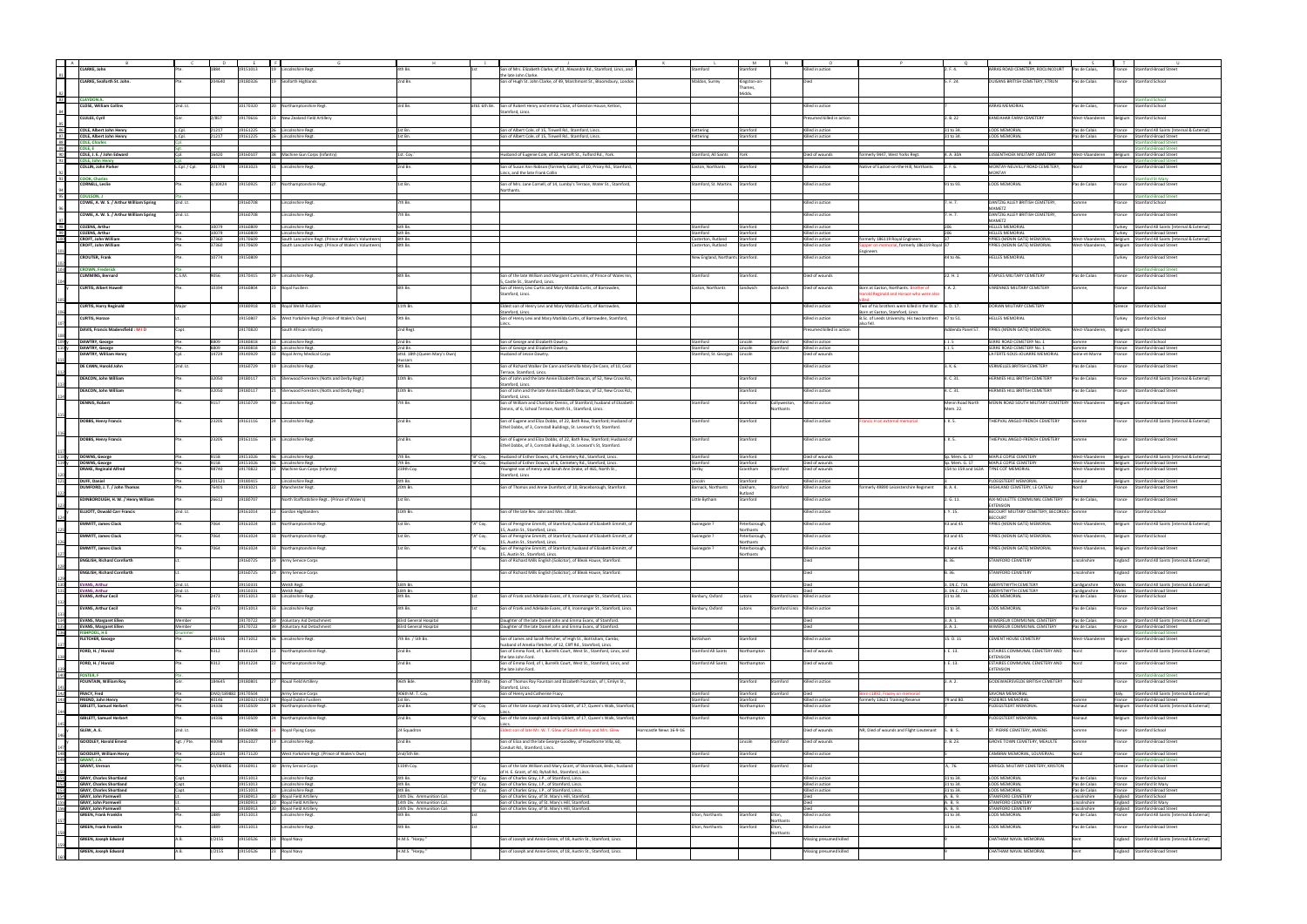|                  | :LARKE, Johr                                                     |                 |                     |                      | ncolnshire Regt.                                      |                                                        |                      | on of Mrs. Elizabeth Clarke, of 13, Alexandra Rd., Stamford, Lincs, and                                                        |                                  |                            |              | led in actior                        |                                                                                            |                           | AS ROAD CEMETERY, ROCLINCOURT                                | as de Calais,                  |                | ımford-Broad Streel                                                                |
|------------------|------------------------------------------------------------------|-----------------|---------------------|----------------------|-------------------------------------------------------|--------------------------------------------------------|----------------------|--------------------------------------------------------------------------------------------------------------------------------|----------------------------------|----------------------------|--------------|--------------------------------------|--------------------------------------------------------------------------------------------|---------------------------|--------------------------------------------------------------|--------------------------------|----------------|------------------------------------------------------------------------------------|
|                  | <b>CLARKE, Seaforth St. John</b>                                 |                 | 204640              | 19180326             | 19 Seaforth Highlands                                 | 2nd Bn.                                                |                      | ie late John Clarki                                                                                                            | Maldon, Surrey                   |                            |              |                                      |                                                                                            | 5. F. 24.                 | DUISANS BRITISH CEMETERY, ETRUN                              | Pas de Calais                  |                | <b>Stamford School</b>                                                             |
|                  |                                                                  |                 |                     |                      |                                                       |                                                        |                      | Son of Hugh St. John Clarke, of 49, Marchmont St., Bloomsbury, London.                                                         |                                  | Kingston-on<br>ames,       |              |                                      |                                                                                            |                           |                                                              |                                | France         |                                                                                    |
|                  |                                                                  |                 |                     |                      |                                                       |                                                        |                      |                                                                                                                                |                                  | Middx.                     |              |                                      |                                                                                            |                           |                                                              |                                |                |                                                                                    |
| 83               | <b>CLAYDON A.</b><br><b>CLOSE, William Collins</b>               | 2nd. Lt.        |                     | 10170320<br>120      | Northamptonshire Regt.                                | 3rd Bn.                                                |                      | attd. 6th Bn. Son of Robert Henry and emma Close, of Geeston House, Ketton,                                                    |                                  |                            |              | Killed in action                     |                                                                                            |                           | ARRAS MEMORIAL                                               | Pas de Calais,                 | ance           | mford School<br>Stamford School                                                    |
|                  |                                                                  |                 |                     |                      |                                                       |                                                        |                      | tamford, Lincs                                                                                                                 |                                  |                            |              |                                      |                                                                                            |                           |                                                              |                                |                |                                                                                    |
|                  | CLULEE, Cyril                                                    |                 | 2/857               | 19170616             | 23 New Zealand Field Artillery                        |                                                        |                      |                                                                                                                                |                                  |                            |              | Presumed killed in action            |                                                                                            | 2. B. 22                  | KANDAHAR FARM CEMETERY                                       | West-Vlaanderer                |                | Belgium Stamford School                                                            |
| 86               | <b>COLE, Albert John Henry</b>                                   | L.Cpl.          | 21217               | 19161225             | 26 Lincolnshire Regt.                                 | 1st Bn.                                                |                      | ion of Albert Cole, of 15, Tinwell Rd., Stamford, Lincs.                                                                       | Kettering                        | Stamford                   |              | Killed in action                     |                                                                                            | 31 to 34.                 | <b>LOOS MEMORIAL</b>                                         | Pas de Calais                  |                | France Stamford All Saints [Internal & External]                                   |
| 87               | <b>COLE. Albert John Henry</b>                                   | L.Cpl.          | 21217               | 19161225             | 26 Lincolnshire Regt                                  | 1st Bn.                                                |                      | ion of Albert Cole, of 15, Tinwell Rd., Stamford, Lincs.                                                                       | Kettering                        | Stamford                   |              | Killed in action                     |                                                                                            | 31 to 34.                 | <b>LOOS MEMORIA</b>                                          | Pas de Calais                  |                | rance Stamford-Broad Street                                                        |
| 88<br>89         | <b>COLE, Charles</b><br>COLE, E                                  |                 |                     |                      |                                                       |                                                        |                      |                                                                                                                                |                                  |                            |              |                                      |                                                                                            |                           |                                                              |                                |                | ford-Broad Stree<br>ford-Broad Stre                                                |
| 90               | COLE, J. E. / John Edward                                        |                 | 16420               | 19160107             | Machine Gun Corps (Infantry                           | 1st. Coy.                                              |                      | Iusband of Eugenie Cole, of 32, Hartoft St., Fulford Rd., York.                                                                | Stamford, All Saints             | York                       |              | Died of wounds                       | merly 9447, West Yorks Regt                                                                | 4. A. 30A                 | LIJSSENTHOEK MILITARY CEMETERY                               | West-Vlaanderen                | elgium         | Stamford-Broad Street                                                              |
| 91               | <b>COLE, John Henry</b>                                          |                 |                     |                      |                                                       |                                                        |                      |                                                                                                                                |                                  |                            |              |                                      |                                                                                            |                           |                                                              |                                |                | nford-Broad Street                                                                 |
|                  | COLLIN, John Parker                                              | L.Cpl. / Cpl    | 201778              | 19181023             | Lincolnshire Regt.                                    | 2nd Bn.                                                |                      | Son of Susan Ann Robson (formerly Collin), of 10, Priory Rd., Stamford,<br>incs, and the late Frank Collin                     | Easton, Northants                | Stamford                   |              | Killed in action                     | Native of Easton-on-the-Hill, Northants.                                                   | 2. F. 6.                  | MONTAY-NEUVILLY ROAD CEMETERY,<br>MONTAY                     | Nord                           | rance          | <b>Stamford-Broad Street</b>                                                       |
| 93               | <b>COOK, Charles</b>                                             |                 |                     |                      |                                                       |                                                        |                      |                                                                                                                                |                                  |                            |              |                                      |                                                                                            |                           |                                                              |                                |                | nford St Mary                                                                      |
|                  | <b>CORNELL, Leslie</b>                                           |                 | 3/10424             | 19150925<br>27       | Northamptonshire Regt.                                | 1st Bn.                                                |                      | Son of Mrs. Jane Cornell, of 14, Lumby's Terrace, Water St., Stamford,                                                         | Stamford, St. Martins            | Stamford                   |              | Killed in action                     |                                                                                            | 91 to 93.                 | <b>LOOS MEMORIAL</b>                                         | Pas de Calais                  | ance           | <b>Stamford-Broad Street</b>                                                       |
| 95               | <b>COULSON, J</b>                                                |                 |                     |                      |                                                       |                                                        |                      |                                                                                                                                |                                  |                            |              |                                      |                                                                                            |                           |                                                              |                                |                | amford-Broad Street                                                                |
|                  | COWIE, A. W. S. / Arthur William Spring                          | 2nd. Lt.        |                     | 19160708             | Lincolnshire Regt.                                    | 7th Bn.                                                |                      |                                                                                                                                |                                  |                            |              | Gilled in action                     |                                                                                            | 7. H. 7.                  | DANTZIG ALLEY BRITISH CEMETERY,                              | Somme                          | rance          | Stamford School                                                                    |
|                  | COWIE, A. W. S. / Arthur William Spring                          | 2nd. Lt.        |                     | 19160708             | Lincolnshire Regt.                                    | 7th Bn.                                                |                      |                                                                                                                                |                                  |                            |              | Gilled in action                     |                                                                                            | '. H. 7.                  | MAMETZ<br>DANTZIG ALLEY BRITISH CEMETERY,                    | omme                           | rance          | Stamford-Broad Street                                                              |
|                  |                                                                  |                 |                     |                      |                                                       |                                                        |                      |                                                                                                                                |                                  |                            |              |                                      |                                                                                            |                           | MAMFT7                                                       |                                |                |                                                                                    |
| 98<br>99         | <b>COZENS, Arthur</b><br><b>COZENS, Arthur</b>                   |                 | 10079<br>10079      | 19160809<br>19160809 | Lincolnshire Reg<br>Lincolnshire Reg                  | 6th Bn.<br>6th Bn                                      |                      |                                                                                                                                | Stamford<br>Stamford             | Stamford<br>Stamford       |              | Killed in action<br>Killed in action |                                                                                            | 206                       | <b>HELLES MEMORIA</b><br><b>HELLES MEMORIA</b>               |                                | urkev          | Stamford All Saints [Internal & External]                                          |
| 100              | <b>CROFT, John William</b>                                       |                 | 37360               | 19170609             | South Lancashire Regt. (Prince of Wales's Volunteers) | 8th Bn                                                 |                      |                                                                                                                                | Casterton, Rutland               | Stamford                   |              | Killed in action                     | rmerly 186119 Royal Engineers                                                              |                           | YPRES (MENIN GATE) MEMORIAL                                  | West-Vlaanderer                | urkey          | Stamford-Broad Street<br>Belgium Stamford All Saints [Internal & External]         |
|                  | <b>CROFT, John William</b>                                       |                 | 37360               | 19170609             | South Lancashire Regt. (Prince of Wales's Volunteers) | 8th Bn.                                                |                      |                                                                                                                                | Casterton, Rutland               | Stamford                   |              | Killed in action                     | pper on memorial, formerly 186119 Royal 37                                                 |                           | YPRES (MENIN GATE) MEMORIAL                                  | West-Vlaanderen                |                | Belgium Stamford-Broad Street                                                      |
|                  | <b>CROUTER, Frank</b>                                            |                 | 10774               | 19150809             |                                                       |                                                        |                      |                                                                                                                                | New England, Northants Stamford. |                            |              | Killed in action                     | ıgineers                                                                                   | 44 to 46.                 | <b>IELLES MEMORIAL</b>                                       |                                | urkey          | Stamford-Broad Street                                                              |
|                  |                                                                  |                 |                     |                      |                                                       |                                                        |                      |                                                                                                                                |                                  |                            |              |                                      |                                                                                            |                           |                                                              |                                |                |                                                                                    |
| 103              | <b>CROWN, Frederick</b><br><b>CUMMINS, Bernard</b>               | C.S.M.          | 9056                | 19170415             | <b>Lincolnshire Regt</b>                              | 8th Bn.                                                |                      | Son of the late William and Margaret Cummins, of Prince of Wales Inn,                                                          | Stamford                         | Stamford.                  |              | Died of wounds                       |                                                                                            | 22. H. 1                  | ETAPLES MILITARY CEMETERY                                    | Pas de Calais                  | rance          | amford-Broad Street<br><b>Stamford-Broad Street</b>                                |
|                  |                                                                  |                 |                     |                      |                                                       |                                                        |                      | Castle St., Stamford, Lincs.                                                                                                   |                                  |                            |              |                                      |                                                                                            |                           |                                                              |                                |                |                                                                                    |
|                  | <b>CURTIS, Albert Howell</b>                                     |                 | 10394               | 19160804             | <b>Royal Fusiliers</b>                                | 8th Bn.                                                |                      | Son of Henry Levi Curtis and Mary Matilda Curtis, of Barrowden,<br>stamford, Lincs.                                            | Easton, Northants                | Sandwich                   | Sandwich     | Died of wounds                       | Born at Easton, Northants. Brother of<br>rold Reginald and Horace who were als             | I. A. 2.                  | VARENNES MILITARY CEMETERY                                   | omme.                          | rance          | Stamford School                                                                    |
|                  |                                                                  |                 |                     |                      |                                                       |                                                        |                      |                                                                                                                                |                                  |                            |              |                                      |                                                                                            |                           |                                                              |                                |                |                                                                                    |
|                  | <b>CURTIS, Harry Reginald</b>                                    | Major           |                     | 19180918             | <b>Roval Welsh Fusiliers</b>                          | 11th Bn.                                               |                      | Eldest son of Henry Levi and Mary Matilda Curtis, of Barrowden,                                                                |                                  |                            |              | Killed in action                     | Two of his brothers were killed in the War. 5. D. 17.                                      |                           | DORIAN MILITARY CEMETERY                                     |                                | Greece         | Stamford School                                                                    |
|                  | <b>CURTIS, Horace</b>                                            |                 |                     | 19150807             | West Yorkshire Regt. (Prince of Wales's Own)          | 9th Bn.                                                |                      | tamford, Lincs.<br>Son of Henry Levi and Mary Matilda Curtis, of Barrowden, Stamford,                                          |                                  |                            |              | Gilled in action                     | Born at Easton, Stamford, Lincs.<br>B.Sc. of Leeds University. His two brothers  47 to 51. |                           | HELLES MEMORIAL                                              |                                | urkey          | Stamford School                                                                    |
|                  |                                                                  |                 |                     |                      |                                                       |                                                        |                      |                                                                                                                                |                                  |                            |              |                                      |                                                                                            |                           |                                                              |                                |                |                                                                                    |
|                  | DAVIS, Francis Madensfield: MID                                  | Capt            |                     | 19170820             | South African Infantry                                | 2nd Regt.                                              |                      |                                                                                                                                |                                  |                            |              | esumed killed in action              |                                                                                            | Addenda Panel 57.         | PRES (MENIN GATE) MEMORIAL                                   | West-Vlaanderen,               | Belgium        | Stamford School                                                                    |
| 109 y            | DAWTRY, George                                                   |                 |                     | 19180818             | 33 Lincolnshire Regt                                  | 2nd Bn.                                                |                      | Son of George and Elizabeth Dawtry.                                                                                            | Stamford                         | Lincoln                    | Stamford     | Killed in action                     |                                                                                            |                           | SERRE ROAD CEMETERY No. 1                                    | mme                            | rance          | amford School:                                                                     |
| 110 <sub>1</sub> | DAWTRY, George                                                   |                 | 8809                | 19180818<br>33       | Lincolnshire Regt.                                    | 2nd Bn                                                 |                      | Son of George and Elizabeth Dawtry.                                                                                            | Stamford                         | Lincoln                    | Stamford     | Killed in action                     |                                                                                            | 1. J. 5                   | SERRE ROAD CEMETERY No. 1                                    | omme                           | France         | <b>Stamford-Broad Street</b>                                                       |
|                  | DAWTRY, William Henry                                            |                 | 14729               | 19140929             | Royal Army Medical Corps                              | attd. 18th (Queen Mary's Own)<br>ssan                  |                      | Iusband of Jessie Dawtry.                                                                                                      | Stamford, St. Georges            | Lincoln                    |              | Died of wounds                       |                                                                                            |                           | LA FERTE-SOUS-JOUARRE MEMORIAL                               | Seine-et-Marne                 | rance          | Stamford-Broad Street                                                              |
|                  | DE CANN, Harold John                                             | 2nd. Lt.        |                     | 19160729             | Lincolnshire Regt.                                    | 9th Bn.                                                |                      | Son of Richard Walker De Cann and Servilla Mary De Cann, of 10, Cecil                                                          |                                  |                            |              | Killed in action                     |                                                                                            | 3. K. 6.                  | VERMELLES BRITISH CEMETERY                                   | Pas de Calais                  | France         | Stamford-Broad Street                                                              |
|                  | DEACON, John William                                             |                 | 32050               | 19180117             | Sherwood Foresters (Notts and Derby Regt.)            | 10th Bn.                                               |                      | errace, Stamford, Lincs<br>Son of John and the late Annie Elizabeth Deacon, of 52, New Cross Rd.,                              |                                  | Stamford                   |              | Killed in action                     |                                                                                            | 4. C. 31.                 | HERMIES HILL BRITISH CEMETERY                                | Pas de Calais                  | rance          | Stamford All Saints [Internal & External]                                          |
|                  |                                                                  |                 |                     |                      |                                                       |                                                        |                      | tamford, Linc                                                                                                                  |                                  |                            |              |                                      |                                                                                            |                           |                                                              |                                |                |                                                                                    |
|                  | <b>DEACON, John William</b>                                      |                 | 32050               | 19180117             | Sherwood Foresters (Notts and Derby Regt.)            | 10th Bn.                                               |                      | Son of John and the late Annie Elizabeth Deacon, of 52, New Cross Rd.,                                                         |                                  | Stamford                   |              | Killed in action                     |                                                                                            | 4. C. 31.                 | HERMIES HILL BRITISH CEMETERY                                | Pas de Calais                  | rance          | <b>Stamford-Broad Street</b>                                                       |
|                  | <b>DENNIS, Robert</b>                                            |                 | 9157                | 19150729             | 49 Lincolnshire Regt.                                 | 7th Bn.                                                |                      | tamford, Linc<br>Son of William and Charlotte Dennis, of Stamford; husband of Elizabeth                                        | Stamford                         | Stamford                   | Collyweston, | Killed in action                     |                                                                                            | Menin Road North          | MENIN ROAD SOUTH MILITARY CEMETERY West-Vlaanderen           |                                |                | Belgium Stamford-Broad Street                                                      |
|                  |                                                                  |                 |                     |                      |                                                       |                                                        |                      | Dennis, of 6, School Terrace, North St., Stamford, Lincs.                                                                      |                                  |                            | Northants    |                                      |                                                                                            | Mem. 22.                  |                                                              |                                |                |                                                                                    |
|                  | <b>DOBBS, Henry Francis</b>                                      |                 | 23205               | 19161116             | 24 Lincolnshire Regt.                                 | 2nd Bn.                                                |                      | Son of Eugene and Eliza Dobbs, of 22, Bath Row, Stamford; Husband of                                                           | Stamford                         | Stamford                   |              | Killed in action                     | rancis H on external memorial                                                              | I. K. 5.                  | THIEPVAL ANGLO-FRENCH CEMETERY                               | Somme                          |                | rance Stamford All Saints [Internal & External]                                    |
|                  |                                                                  |                 |                     |                      |                                                       |                                                        |                      | Ethel Dobbs, of 3, Cornstall Buildings, St. Leonard's St, Stamford.                                                            |                                  |                            |              |                                      |                                                                                            |                           |                                                              |                                |                |                                                                                    |
|                  | <b>DOBBS, Henry Francis</b>                                      |                 | 23205               | 19161116             | 24 Lincolnshire Regt.                                 | 2nd Bn.                                                |                      | Son of Eugene and Eliza Dobbs, of 22, Bath Row, Stamford; Husband of                                                           | Stamford                         | Stamford                   |              | Killed in action                     |                                                                                            | I.K. 5.                   | THIEPVAL ANGLO-FRENCH CEMETERY                               | Somme                          |                | rance Stamford-Broad Street                                                        |
|                  |                                                                  |                 |                     |                      |                                                       |                                                        |                      | thel Dobbs, of 3, Cornstall Buildings, St. Leonard's St, Stamford.                                                             |                                  |                            |              |                                      |                                                                                            |                           |                                                              |                                |                |                                                                                    |
| 118y             |                                                                  |                 | 9158                | 19151026             | 46 Lincolnshire Regt                                  | 7th Bn.                                                | "B" Coy.             |                                                                                                                                | Stamford                         | Stamford                   |              | Died of wounds                       |                                                                                            | Sp. Mem. G. 17            | MAPLE COPSE CEMETERY                                         | West-Vlaanderen                |                |                                                                                    |
| 119 <sub>y</sub> | DOWNS, George<br>DOWNS, George                                   |                 | 9158                | 19151026             | 46 Lincolnshire Regt.                                 | 7th Bn.                                                | "B" Coy.             | Husband of Esther Downs, of 6, Cemetery Rd., Stamford, Lincs.<br>Husband of Esther Downs, of 6, Cemetery Rd., Stamford, Lincs. | Stamford                         | Stamford                   |              | Died of wounds                       |                                                                                            | Sp. Mem. G. 17            | MAPLE COPSE CEMETERY                                         | West-Vlaanderen                |                | Belgium Stamford All Saints [Internal & External]<br>Belgium Stamford-Broad Street |
|                  | <b>DRAKE, Reginald Alfred</b>                                    |                 | 98740               | 19170822<br>22       | Machine Gun Corps (Infantry)                          | 239th Coy.                                             |                      | Youngest son of Henry and Sarah Ann Drake, of 465, North St.,                                                                  | Derby                            | Grantham                   | Stamford     | Died of wounds                       |                                                                                            |                           | 154 to 159 and 163A TYNE COT MEMORIAL                        | West-Vlaanderen                |                | Belgium Stamford-Broad Street                                                      |
| 121              | DUFF, Daniel                                                     |                 | 201521              | 19180415             | Lincolnshire Regt.                                    | 4th Bn.                                                |                      | tamford, Linc                                                                                                                  | Lincoln                          | Stamford                   |              | illed in action                      |                                                                                            |                           | LOEGSTEERT MEMORIAL                                          | Hainaut                        | 3elgium        | <b>Stamford-Broad Street</b>                                                       |
|                  | DUMFORD, J. T. / John Thomas                                     |                 | 76401               | 9181021              | Manchester Regt.                                      | 20th Bn.                                               |                      | Son of Thomas and Annie Dumford, of 10, Braceborough, Stamford.                                                                | Barnack, Northants               | Oakham,                    | tamford      | Killed in action                     | merly 49890 Leicestershire Regiment                                                        | 8.A.4.                    | <b>IIGHLAND CEMETERY, LE CATEAU</b>                          |                                | ance           | <b>Stamford-Broad Street</b>                                                       |
|                  | EDINBOROUGH, H. W. / Henry William                               |                 | 26612               | 19180707             | North Staffordshire Regt (Prince of Wales's)          | 1st Bn.                                                |                      |                                                                                                                                | Little Bytham                    | Stamford                   |              | Killed in action                     |                                                                                            | 2. G. 11.                 | AIX-NOULETTE COMMUNAL CEMETERY                               | Pas de Calais,                 | France         | Stamford-Broad Street                                                              |
|                  |                                                                  |                 |                     |                      |                                                       |                                                        |                      |                                                                                                                                |                                  |                            |              |                                      |                                                                                            |                           | <b>EXTENSION</b>                                             |                                |                |                                                                                    |
|                  | <b>ELLIOTT, Oswald Carr Francis</b>                              | 2nd. Lt.        |                     | 19161014             | 22 Gordon Highlanders                                 | 10th Bn.                                               |                      | Son of the late Rev. John and Mrs. Elliott.                                                                                    |                                  |                            |              | Killed in action                     |                                                                                            | I. Y. 15.                 | BECOURT MILITARY CEMETERY, BECORDEL- Somme<br><b>BECOURT</b> |                                | rance          | <b>Stamford School</b>                                                             |
|                  | <b>EMMITT, James Clack</b>                                       |                 | 7064                | 19161024             | Northamptonshire Regt.                                | 1st Bn                                                 | "A" Coy.             | Son of Peregrine Emmitt, of Stamford; husband of Elizabeth Emmitt, of                                                          | Swinegate i                      | eterborough                |              | Gilled in actior                     |                                                                                            | 43 and 45                 | YPRES (MENIN GATE) MEMORIAL                                  | West-Vlaanderen,               | elgium         | Stamford All Saints [Internal & External]                                          |
|                  | <b>EMMITT, James Clack</b>                                       |                 | 7064                | 19161024             | Northamptonshire Regt.                                | 1st Bn                                                 | "A" Coy.             | Austin St., Stamford, Linc<br>Son of Peregrine Emmitt, of Stamford; husband of Elizabeth Emmitt, of                            | Swinegate ?                      | orthants<br>Peterborough   |              | Killed in action                     |                                                                                            | 43 and 45                 | YPRES (MENIN GATE) MEMORIAL                                  | West-Vlaanderen,               |                | Belgium Stamford School                                                            |
|                  |                                                                  |                 |                     |                      |                                                       |                                                        |                      | 5, Austin St., Stamford, Lincs.                                                                                                |                                  | Northants                  |              |                                      |                                                                                            |                           |                                                              |                                |                |                                                                                    |
|                  | <b>FMMITT, James Clack</b>                                       |                 | 7064                | 19161024             | 33 Northamptonshire Regt.                             | 1st Bn.                                                | "A" Coy.             | Son of Peregrine Emmitt, of Stamford; husband of Elizabeth Emmitt, of<br>5, Austin St., Stamford, Lincs.                       | Swinegate ?                      | Peterborough,<br>Northants |              | Killed in action                     |                                                                                            | 43 and 45                 | YPRES (MENIN GATE) MEMORIAL                                  | West-Vlaanderen,               |                | Belgium Stamford-Broad Street                                                      |
|                  | <b>ENGLISH, Richard Cornforth</b>                                |                 |                     | 9160725              | Army Service Corps                                    |                                                        |                      | Son of Richard Mills English (Solicitor), of Bleak House, Stamford.                                                            |                                  |                            |              |                                      |                                                                                            | B. 36.                    | <b>TAMFORD CEMETERY</b>                                      | incolnshire                    |                | ingland Stamford All Saints (Internal & External)                                  |
|                  | <b>ENGLISH, Richard Cornforth</b>                                |                 |                     | 19160725             | 29 Army Service Corps                                 |                                                        |                      | Son of Richard Mills English (Solicitor), of Bleak House, Stamford.                                                            |                                  |                            |              | Died                                 |                                                                                            | B. 36.                    | <b>STAMFORD CEMETERY</b>                                     | Lincolnshire                   |                | Ingland Stamford-Broad Street                                                      |
|                  |                                                                  |                 |                     |                      |                                                       |                                                        |                      |                                                                                                                                |                                  |                            |              |                                      |                                                                                            |                           |                                                              |                                |                |                                                                                    |
| 130<br>131       | <b>EVANS, Arthur</b><br><b>EVANS, Arthur</b>                     | 2nd. Lt.        |                     | 19150331<br>9150331  | Welsh Regt.                                           | 18th Bn.<br>18th Bn.                                   |                      |                                                                                                                                |                                  |                            |              | Died                                 |                                                                                            | 3. 1N.C. 714.             | ABERYSTWYTH CEMETERY                                         | Cardiganshire                  | Wales          | Stamford All Saints [Internal & External]                                          |
|                  | <b>EVANS, Arthur Cecil</b>                                       | 2nd. Lt.        | 2473                | 19151013             | <b>Welsh Regt</b><br>Lincolnshire Regt.               | 4th Bn.                                                |                      | Son of Frank and Adelaide Evans, of II, Ironmonger St., Stamford, Lincs.                                                       | Banbury, Oxford                  | utons                      |              | amford Lincs Killed in action        |                                                                                            | I. 1N.C. 714<br>31 to 34. | <b>ABERYSTWYTH CEMETERY</b><br>LOOS MEMORIAL                 | Cardiganshire<br>Pas de Calais | Vales<br>rance | Stamford-Broad Street<br>Stamford School                                           |
|                  |                                                                  |                 |                     |                      |                                                       |                                                        |                      |                                                                                                                                |                                  |                            |              |                                      |                                                                                            |                           |                                                              |                                |                |                                                                                    |
|                  | <b>EVANS, Arthur Cecil</b>                                       |                 | 2473                | 19151013             | 33 Lincolnshire Regt.                                 | 4th Bn.                                                |                      | Son of Frank and Adelaide Evans, of II, Ironmonger St., Stamford, Lincs.                                                       | Banbury, Oxford                  | Lutons                     |              | Stamford Lincs Killed in action      |                                                                                            | 31 to 34.                 | <b>LOOS MEMORIAL</b>                                         | Pas de Calais                  | rance          | Stamford-Broad Street                                                              |
| 134              | <b>EVANS, Margaret Ellen</b>                                     | Member          |                     | 19170722             | 39 Voluntary Aid Detachment                           | 83rd General Hospital                                  |                      | Daughter of the late Daniel John and Emma Evans, of Stamford.                                                                  |                                  |                            |              | Diec                                 |                                                                                            | 3. A.1                    | WIMEREUX COMMUNAL CEMETERY                                   | Pas de Calais                  |                | France Stamford All Saints [Internal & External]                                   |
| 135<br>136       | <b>EVANS, Margaret Ellen</b><br><b>FISHPOOL, H E</b>             | Member<br>rumme |                     | 19170722             | 39 Voluntary Aid Detachment                           | 83rd General Hospital                                  |                      | Daughter of the late Daniel John and Emma Evans, of Stamford.                                                                  |                                  |                            |              | Died                                 |                                                                                            | 3. A. 1.                  | WIMEREUX COMMUNAL CEMETERY                                   | Pas de Calais                  |                | France Stamford-Broad Street<br>mford-Broad Street                                 |
|                  | <b>FLETCHER, George</b>                                          |                 | 241916              | 19171012<br>36       | Lincolnshire Regt.                                    | 7th Bn. / 5th Bn.                                      |                      | Son of James and Sarah Fletcher, of High St., Bottisham, Cambs;                                                                | Bottisham                        | itamford                   |              | Killed in action                     |                                                                                            | 15. D. 11                 | CEMENT HOUSE CEMETERY                                        | West-Vlaanderen                | elgium         | Stamford-Broad Street                                                              |
|                  | FORD, H. / Harold                                                |                 | 9312                | 19141224<br>122.     |                                                       | 2nd Bn.                                                |                      | isband of Amelia Fletcher, of 12, Cliff Rd., Stamford, Linc                                                                    | <b>Stamford All Saints</b>       | Northampton                |              | Died of wounds                       |                                                                                            | I. E. 13.                 | ESTAIRES COMMUNAL CEMETERY AND                               | Nord                           | rance          | Stamford All Saints [Internal & External]                                          |
|                  |                                                                  |                 |                     |                      | Northamptonshire Regt.                                |                                                        |                      | Son of Emma Ford, of I, Burrells Court, West St., Stamford, Lincs, and<br>the late John Ford.                                  |                                  |                            |              |                                      |                                                                                            |                           | <b>EXTENSION</b>                                             |                                |                |                                                                                    |
|                  | FORD, H. / Harold                                                |                 | 9312                | 19141224             | 22 Northamptonshire Regt.                             | 2nd Bn.                                                |                      | Son of Emma Ford, of I, Burrells Court, West St., Stamford, Lincs, and                                                         | <b>Stamford All Saints</b>       | orthampton                 |              | Died of wounds                       |                                                                                            | I. E. 13.                 | ESTAIRES COMMUNAL CEMETERY AND                               |                                | rance          | Stamford-Broad Street                                                              |
| 140              | <b>FOSTER, F</b>                                                 |                 |                     |                      |                                                       |                                                        |                      | he late John Ford.                                                                                                             |                                  |                            |              |                                      |                                                                                            |                           | <b>EXTENSION</b>                                             |                                |                | mford-Broad Street                                                                 |
|                  | <b>FOUNTAIN, William Roy</b>                                     |                 | 184645              | 19180801             | Roual Field Artillery                                 | 96th Bde.                                              | 410th Bty.           | Son of Thomas Roy Fountain and Elizabeth Fountain, of I, Emlyn St.,                                                            |                                  | Stamford                   | Stamford     | Killed in action                     |                                                                                            | 2. A. 2.                  | GODEWAERSVELDE BRITISH CEMETERY                              | Nord                           | rance          | <b>Stamford-Broad Street</b>                                                       |
| 142              | <b>FRACY, Fred</b>                                               |                 | DM2/189882 19170504 |                      | Army Service Corps                                    | 906th M. T. Coy.                                       |                      | amford, Lincs<br>Son of Henry and Catherine Fracy.                                                                             | Stamford                         | Stamford                   | tamford      | Died                                 | c1892, Fracey on memorial                                                                  |                           | SAVONA MEMORIAL                                              |                                | ltaly.         | Stamford All Saints [Internal & External]                                          |
| 143              | FRIEND, John Henry                                               |                 | 40146               | 19180321-0329        | Royal Dublin Fusiliers                                | 1st Bn                                                 |                      |                                                                                                                                | Stamford                         | Stamford                   |              | Killed in action                     | rmerly 13621 Training Reserve                                                              | 79 and 80.                | POZIERES MEMORIAL                                            | omme                           | rance          | Stamford-Broad Street                                                              |
|                  | <b>GIBLETT, Samuel Herbert</b>                                   |                 | 14336               | 19150509<br>124      | Northamptonshire Regt.                                | 2nd Bn.                                                | "B" Coy              | Son of the late Joseph and Emily Giblett, of 17, Queen's Walk, Stamford,                                                       | Stamford                         | Vorthampton                |              | Killed in action                     |                                                                                            |                           | PLOEGSTEERT MEMORIAL                                         | lainaut                        |                | Belgium Stamford All Saints [Internal & External]                                  |
|                  | <b>GIBLETT, Samuel Herbert</b>                                   |                 | 14336               | 19150509             | 24 Northamptonshire Regt.                             | 2nd Bn.                                                | "B" Coy              | Son of the late Joseph and Emily Giblett, of 17, Queen's Walk, Stamford,                                                       | Stamford                         | Northampton                |              | Killed in action                     |                                                                                            |                           | PLOEGSTEERT MEMORIAL                                         | Hainaut                        |                | Belgium Stamford-Broad Street                                                      |
|                  | GLEW, A. E.                                                      | 2nd. Lt.        |                     | 19160908             | <b>Royal Flying Corps</b>                             | 24 Squadron                                            |                      | dest son of late Mr. W. T. Glew of South Kelsey and Mrs. Glew<br>Horncastle News 16-9-16                                       |                                  |                            |              | Died of wounds                       | NR, Died of wounds and Flight Lieutenant 5. B. 5.                                          |                           | ST. PIERRE CEMETERY, AMIENS                                  | Somme                          | rance          | <b>Stamford School</b>                                                             |
|                  |                                                                  |                 |                     |                      |                                                       |                                                        |                      |                                                                                                                                |                                  |                            |              |                                      |                                                                                            |                           |                                                              |                                |                |                                                                                    |
|                  | <b>GOODLEY, Harold Ernest</b>                                    | Sgt. / Pte.     | 40098               | 19161027             | 19 Lincolnshire Regt.                                 | 2nd Bn.                                                |                      | Son of Eliza and the late George Goodley, of Hawthorne Villa, 60,<br>onduit Rd., Stamford, Lincs.                              |                                  | Lincoln                    | Stamford     | Died of wounds                       |                                                                                            | 2. B. 23.                 | <b>GROVE TOWN CEMETERY, MEAULTE</b>                          |                                | rance          | <b>Stamford-Broad Street</b>                                                       |
| 148              | <b>GOODLIFF, William Henry</b>                                   |                 | 202024              | 19171120             | West Yorkshire Regt. (Prince of Wales's Own)          | nd/5th Bn.                                             |                      |                                                                                                                                | tamford                          | tamford                    |              | illed in action                      |                                                                                            |                           | CAMBRAI MEMORIAL, LOUVERVAL                                  |                                | rance          | Stamford-Broad Street                                                              |
| 149              | GRANT, J.A.                                                      |                 |                     |                      |                                                       |                                                        |                      |                                                                                                                                |                                  |                            |              | Died                                 |                                                                                            |                           |                                                              |                                |                | nford-Broad Stree!                                                                 |
|                  | <b>GRANT, Vernon</b>                                             |                 | S4/084856           | 19160911             | 30 Army Service Corps                                 | 110th Coy.                                             |                      | Son of the late William and Mary Grant, of Sharnbrook, Beds.; husband<br>of H. E. Grant, of 40, Ryhall Rd., Stamford, Lincs.   | Stamford                         | Stamford                   | Stamford     |                                      |                                                                                            | A, 76.                    | SARIGOL MILITARY CEMETERY, KRISTON                           |                                | Greece         | Stamford-Broad Street                                                              |
| 151              | <b>GRAY, Charles Shortland</b>                                   | Capt            |                     | 19151013             | Lincolnshire Regt.                                    | 4th Bn.                                                | "D" Coy.             | Son of Charles Gray, J.P., of Stamford, Lincs.                                                                                 |                                  |                            |              | Killed in action                     |                                                                                            | 31 to 34.                 | <b>LOOS MEMORIA</b>                                          | Pas de Calais                  | rance          | Stamford School                                                                    |
| 152<br>153       | <b>GRAY, Charles Shortland</b><br><b>GRAY, Charles Shortland</b> | Capt<br>Capt    |                     | 19151013<br>19151013 | Lincolnshire Regt.<br>Lincolnshire Regt.              | 4th Bn.<br>4th Bn.                                     | "D" Coy.<br>"D" Coy. | Son of Charles Gray, J.P., of Stamford, Lincs.<br>Son of Charles Gray, J.P., of Stamford, Lincs.                               |                                  |                            |              | Killed in action<br>Killed in action |                                                                                            | 31 to 34.<br>31 to 34.    | LOOS MEMORIA<br>LOOS MEMORIAL                                | Pas de Calais<br>Pas de Calais |                | France Stamford St Mary<br>rance Stamford-Broad Street                             |
| 154              | <b>GRAY, John Parmwell</b>                                       |                 |                     | 19180913             | 20 Royal Field Artiller                               | 14th Div. Ammunition Col                               |                      | ion of Charles Gray, of St. Mary's Hill, Stamford.                                                                             |                                  |                            |              | Died                                 |                                                                                            | A. R. 9.                  | STAMFORD CEMETERY                                            | incolnshire                    |                | ingland Stamford School                                                            |
| 155<br>156       | <b>GRAY, John Parmwell</b><br><b>GRAY, John Parmwell</b>         |                 |                     | 19180913<br>9180913  | 20 Royal Field Artillery<br>20 Royal Field Artillery  | 14th Div. Ammunition Col.<br>14th Div. Ammunition Col. |                      | Son of Charles Gray, of St. Mary's Hill, Stamford.<br>ion of Charles Gray, of St. Mary's Hill, Stamford.                       |                                  |                            |              | Died<br>lied                         |                                                                                            | A. B. 9.<br>A. B, 9.      | STAMFORD CEMETERY<br><b>TAMFORD CEMETERY</b>                 | Lincolnshire<br>Lincolnshire   |                | England Stamford St Mary<br>Ingland Stamford-Broad Street                          |
|                  | <b>GREEN, Frank Franklin</b>                                     |                 | 1889                | 19151013             | Lincolnshire Regt.                                    | 4th Bn.                                                |                      |                                                                                                                                | Elton, Northants                 | Stamford                   | Elton        | Killed in action                     |                                                                                            | 31 to 34.                 | <b>LOOS MEMORIAL</b>                                         | Pas de Calais                  |                | France Stamford All Saints [Internal & External]                                   |
|                  | <b>GREEN, Frank Franklin</b>                                     |                 | 1889                | 19151013             | Lincolnshire Regt.                                    | 4th Bn.                                                |                      |                                                                                                                                | Elton, Northants                 | Stamford                   | Elton,       | illed in action                      |                                                                                            | 31 to 34.                 | LOOS MEMORIAL                                                | Pas de Calais                  | rance          | <b>Stamford-Broad Street</b>                                                       |
|                  |                                                                  |                 |                     |                      |                                                       |                                                        |                      |                                                                                                                                |                                  |                            | orthant      |                                      |                                                                                            |                           |                                                              |                                |                |                                                                                    |
|                  | <b>GREEN, Joseph Edward</b>                                      | A.B.            | J/2155              | 19150526             | Royal Navy                                            | H.M.S. "Harpy."                                        |                      | Son of Joseph and Annie Green, of 18, Austin St., Stamford, Lincs                                                              |                                  |                            |              | Missing presumed killed              |                                                                                            |                           | CHATHAM NAVAL MEMORIAL                                       | Kent                           |                | England Stamford All Saints [Internal & External]                                  |
|                  | <b>GREEN, Joseph Edward</b>                                      | A.B.            | J/2155              | 19150526             | Royal Navy                                            | H.M.S. "Harpy."                                        |                      | ion of Joseph and Annie Green, of 18, Austin St., Stamford, Lincs.                                                             |                                  |                            |              | Missing presumed killed              |                                                                                            |                           | CHATHAM NAVAL MEMORIAL                                       | Kent                           |                | ngland Stamford-Broad Street                                                       |
|                  |                                                                  |                 |                     |                      |                                                       |                                                        |                      |                                                                                                                                |                                  |                            |              |                                      |                                                                                            |                           |                                                              |                                |                |                                                                                    |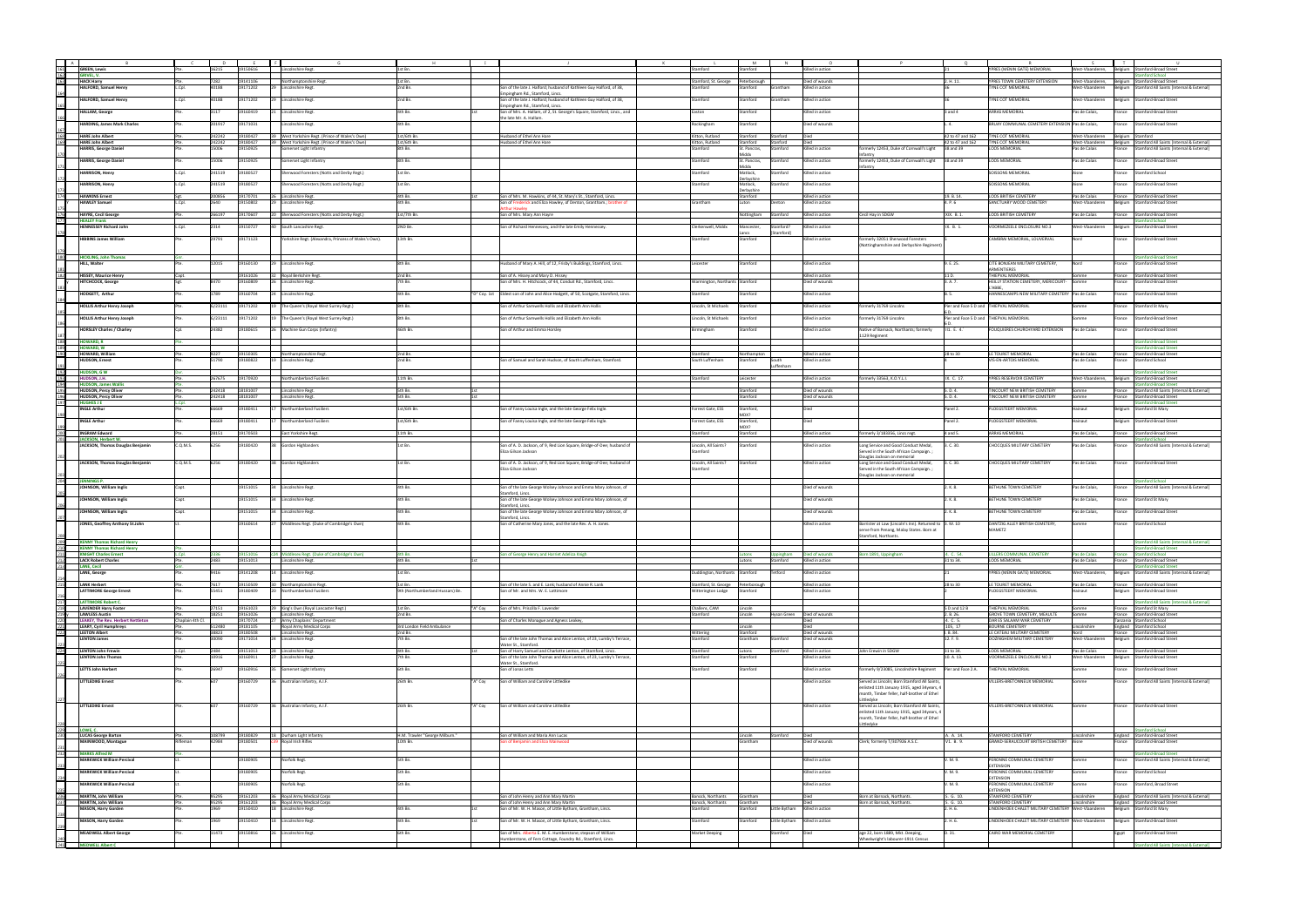| A                                             |                                                                 |                |                |                      |                                                             |                                  |                                                                                                                           |                                   |                       |             |                                    |                                                                                |                           |                                                            |                                     |                                                                                       |
|-----------------------------------------------|-----------------------------------------------------------------|----------------|----------------|----------------------|-------------------------------------------------------------|----------------------------------|---------------------------------------------------------------------------------------------------------------------------|-----------------------------------|-----------------------|-------------|------------------------------------|--------------------------------------------------------------------------------|---------------------------|------------------------------------------------------------|-------------------------------------|---------------------------------------------------------------------------------------|
| $\frac{161}{162}$                             | <b>GREEN, Lewis</b>                                             |                |                |                      | Inshire Regt                                                | Lst Bn.                          |                                                                                                                           |                                   |                       |             | lled in action                     |                                                                                |                           | PRES (MENIN GATE) MEMORIA                                  | est-Vlaandere                       | tamford-Broad Street<br>Belgium                                                       |
|                                               | GRIVEL, V.                                                      |                |                |                      |                                                             |                                  |                                                                                                                           |                                   |                       |             |                                    |                                                                                |                           |                                                            |                                     | nford School                                                                          |
| 163                                           | <b>HACK Harry</b><br><b>HALFORD, Samuel Henry</b>               | L.Cpl.         | 7282<br>40188  | 19141106<br>19171202 | Northamptonshire Regt                                       | 1st Bn.<br>2nd Bn.               | Son of the late J. Halford; husband of Kathleen Guy Halford, of 38,                                                       | Stamford, St. George<br>Stamford  | Peterborough          | antham      | Died of wounds<br>Killed in action |                                                                                | 2. H. 11.                 | YPRES TOWN CEMETERY EXTENSION<br><b>TYNE COT MEMORIAL</b>  | West-Vlaanderen,<br>West-Vlaanderen | Belgium Stamford-Broad Street<br>Stamford All Saints [Internal & External]<br>lelgium |
|                                               |                                                                 |                |                |                      | 29 Lincolnshire Regt                                        |                                  | mpingham Rd., Stamford, Lincs.                                                                                            |                                   | tamford               |             |                                    |                                                                                |                           |                                                            |                                     |                                                                                       |
|                                               | <b>HALFORD, Samuel Henry</b>                                    | L.Cpl.         | 40188          | 19171202             | 29 Lincolnshire Regt                                        | 2nd Bn.                          | Son of the late J. Halford; husband of Kathleen Guy Halford, of 38,                                                       | Stamford                          | Stamford              | Grantham    | Gilled in action                   |                                                                                |                           | TYNE COT MEMORIAL                                          | West-Vlaanderer                     | <b>Stamford-Broad Street</b><br>Belgium                                               |
|                                               |                                                                 |                |                |                      |                                                             |                                  | mpingham Rd., Stamford, Lincs.                                                                                            |                                   |                       |             |                                    |                                                                                |                           |                                                            |                                     |                                                                                       |
|                                               | <b>HALLAM, George</b>                                           |                | 3117           | 19160419             | <b>Lincolnshire Regt</b>                                    | 4th Bn.                          | Son of Mrs. A. Hallam, of 2, St. George's Square, Stamford, Lincs., and<br>he late Mr. A. Hallan                          | Easton                            | Stamford              |             | illed in action                    |                                                                                | and 4                     | ARRAS MEMORIAL                                             | as de Calais,                       | <b>Stamford-Broad Street</b><br>-rance                                                |
|                                               | <b>HARDING, James Mark Charles</b>                              |                | 201917         | 19171031             | <b>Lincolnshire Regt</b>                                    | 4th Bn.                          |                                                                                                                           | Rockingham                        | Stamford              |             | Died of wounds                     |                                                                                | .4.                       | BRUAY COMMUNAL CEMETERY EXTENSION Pas de Calais            |                                     | <b>Stamford-Broad Street</b><br>France                                                |
|                                               |                                                                 |                |                |                      |                                                             |                                  |                                                                                                                           |                                   |                       |             |                                    |                                                                                |                           |                                                            |                                     |                                                                                       |
| $\frac{168}{169}$                             | <b>HARE John Albert</b>                                         |                | 242242         | 19180427             | 39 West Yorkshire Regt. (Prince of Wales's Own)             | 1st/6th Bn.                      | Husband of Ethel Ann Hare                                                                                                 | Kitton, Rutland                   | Stamford              | Stanford    | Died                               |                                                                                | 42 to 47 and 162          | TYNE COT MEMORIAL                                          | West-Vlaanderen                     | Belgium Stamford                                                                      |
|                                               | <b>HARE John Albert</b>                                         |                | 242242         | 19180427             | 39 West Yorkshire Regt. (Prince of Wales's Own)             | 1st/6th Bn.                      | Husband of Ethel Ann Hare                                                                                                 | Kitton, Rutland                   | Stamford              | Stanford    | Died                               |                                                                                | 42 to 47 and 162          | <b>TYNE COT MEMORIAL</b>                                   | West-Vlaanderen                     | Belgium Stamford All Saints [Internal & External]                                     |
|                                               | <b>HARRIS, George Danie</b>                                     |                | 15006          | 19150925             | Somerset Light Infantry                                     | 8th Bn.                          |                                                                                                                           | Stamford                          | St. Pancras.<br>Aiddx | Stamford    | Killed in action                   | merly 12453, Duke of Cornwall's Light                                          | 38 and 39                 | <b>LOOS MEMORIAL</b>                                       | Pas de Calais                       | France Stamford All Saints [Internal & External]                                      |
|                                               | <b>HARRIS, George Daniel</b>                                    |                | 15006          | 19150925             | Somerset Light Infantry                                     | 8th Bn.                          |                                                                                                                           | Stamford                          | St. Pancras,          | Stamford    | Killed in action                   | rmerly 12453, Duke of Cornwall's Light 38 and 39                               |                           | <b>LOOS MEMORIAL</b>                                       | Pas de Calais                       | <b>Stamford-Broad Street</b><br>France                                                |
|                                               |                                                                 |                |                |                      |                                                             |                                  |                                                                                                                           |                                   | Middx                 |             |                                    |                                                                                |                           |                                                            |                                     |                                                                                       |
|                                               | <b>HARRISON, Henry</b>                                          | L.Cpl.         | 241519         | 19180527             | Sherwood Foresters (Notts and Derby Regt.)                  | 1st Bn.                          |                                                                                                                           | Stamford                          | Matlock,              | tamford     | Killed in action                   |                                                                                |                           | SOISSONS MEMORIAL                                          | Aisne                               | Stamford School<br>rance                                                              |
|                                               | <b>HARRISON, Henry</b>                                          | L.Cpl.         | 241519         | 19180527             | Sherwood Foresters (Notts and Derby Regt.)                  | 1st Bn.                          |                                                                                                                           | Stamford                          | erbyshin<br>Matlock.  | tamford     | Gilled in action                   |                                                                                |                           | SOISSONS MEMORIAL                                          | Aisne                               | <b>France</b><br>Stamford-Broad Street                                                |
|                                               |                                                                 |                |                |                      |                                                             |                                  |                                                                                                                           |                                   | erbyshir              |             |                                    |                                                                                |                           |                                                            |                                     |                                                                                       |
| 174                                           | <b>HAWKINS Ernest</b>                                           | Sgt.           | 200856         | 19170701             | 26 Lincolnshire Regt.                                       | 4th Bn.                          | Son of Mrs. M. Hawkins, of 44, St. Mary's St., Stamford, Lincs.                                                           |                                   | Stamford              |             | Killed in action                   |                                                                                | 19. B. 14.                | LOOS BRITISH CEMETERY                                      | Pas de Calais                       | France Stamford-Broad Street                                                          |
|                                               | <b>HAWLEY Samuel</b>                                            | L.Cpl.         | 2640           | 19150802             | Lincolnshire Regt.                                          | 4th Bn.                          | Son of Frederick and Eliza Hawley, of Denton, Grantham.; brother of                                                       | Grantham                          |                       | Denton      | Killed in action                   |                                                                                | 4. P. 6                   | SANCTUARY WOOD CEMETERY                                    | West-Vlaanderer                     | Stamford-Broad Street<br>Belgium                                                      |
|                                               |                                                                 |                |                |                      |                                                             |                                  |                                                                                                                           |                                   |                       |             |                                    |                                                                                |                           |                                                            |                                     |                                                                                       |
| 176<br>177                                    | <b>HAYRE, Cecil George</b><br><b>HEALEY Frank</b>               |                | 266197         | 19170607             | 20 Sherwood Foresters (Notts and Derby Regt.)               | 1st/7th Bn.                      | Son of Mrs. Mary Ann Hayre                                                                                                |                                   | Nottingham Stamford   |             | Killed in action                   | Cecil Hay in SDGW                                                              | XIX. B. 1.                | LOOS BRITISH CEMETERY                                      | Pas de Calais                       | France Stamford-Broad Street<br>amford School                                         |
|                                               | <b>IENNESSEY Richard John</b>                                   | L.Cpl.         | 2314           | 19150727             | South Lancashire Regt.                                      | 2ND Bn.                          | Son of Richard Hennessey, and the late Emily Hennessey.                                                                   | Clerkenwell, Middx                | lancester,            | tainford:   | lled in action                     |                                                                                | IX. B. 1.                 | /OORMEZEELE ENCLOSURE NO.3                                 | Vest-Vlaanderen                     | Stamford-Broad Street<br>Belgium                                                      |
|                                               |                                                                 |                |                |                      |                                                             |                                  |                                                                                                                           |                                   |                       |             |                                    |                                                                                |                           |                                                            |                                     |                                                                                       |
|                                               | <b>HIBBINS James William</b>                                    |                | 29791          | 19171123             | Yorkshire Regt. (Alexandra, Princess of Wales's Own).       | 13th Bn.                         |                                                                                                                           | Stamford                          | Stamford              |             | Killed in action                   | ormerly 32051 Sherwood Foresters                                               |                           | CAMBRAI MEMORIAL, LOUVERVAL                                | Nord                                | <b>France</b><br><b>Stamford-Broad Street</b>                                         |
|                                               |                                                                 |                |                |                      |                                                             |                                  |                                                                                                                           |                                   |                       |             |                                    | Nottinghamshire and Derbyshire Regiment)                                       |                           |                                                            |                                     |                                                                                       |
| 180                                           | <b>HICKLING, John Thomas</b>                                    |                |                |                      |                                                             |                                  |                                                                                                                           |                                   |                       |             |                                    |                                                                                |                           |                                                            |                                     | amford-Broad Street                                                                   |
|                                               | <b>HILL, Walter</b>                                             |                | 12015          | 19160130             | Lincolnshire Regt.                                          | 8th Bn.                          | lusband of Mary A. Hill, of 12, Frisby's Buildings, Stamford, Lincs.                                                      | Leicester                         | :amford               |             | illed in action                    |                                                                                | I. E. 25.                 | TE BONJEAN MILITARY CEMETERY,                              |                                     | Stamford-Broad Street<br>ance                                                         |
|                                               |                                                                 |                |                |                      |                                                             |                                  |                                                                                                                           |                                   |                       |             |                                    |                                                                                |                           | MENTIERE!                                                  |                                     |                                                                                       |
| 182                                           | <b>HISSEY, Maurice Henry</b><br><b>HITCHCOCK, George</b>        | Capt.          | 8470           | 19161026<br>19160809 | 32 Royal Berkshire Regt.<br>26 Lincolnshire Regt.           | 2nd Bn.<br>7th Bn.               | Son of A. Hissey and Mary D. Hissey<br>Son of Mrs. H. Hitchcock, of 44, Conduit Rd., Stamford, Lincs.                     | Warmington, Northants Stamford    |                       |             | Killed in action<br>Died of wounds |                                                                                | 11 D.<br>3. A. 7.         | THIEPVAL MEMORIAL<br>HEILLY STATION CEMETERY, MERICOURT-   | Somme<br>Somme                      | France Stamford-Broad Street<br>Stamford-Broad Street<br>rance                        |
|                                               |                                                                 |                |                |                      |                                                             |                                  |                                                                                                                           |                                   |                       |             |                                    |                                                                                |                           | 'ARRF                                                      |                                     |                                                                                       |
|                                               | <b>HODGETT, Arthur</b>                                          |                | 1789           | 19160704             | 24 Lincolnshire Regt.                                       | 4th Bn.                          | "D" Coy. 1st Eldest son of John and Alice Hodgett, of 50, Scotgate, Stamford, Lincs.                                      | Stamford                          | Stamford              |             | Killed in action                   |                                                                                | B. 5.                     | HANNESCAMPS NEW MILITARY CEMETERY Pas de Calais            |                                     | <b>Stamford-Broad Street</b><br>-rance                                                |
|                                               |                                                                 |                |                |                      |                                                             |                                  |                                                                                                                           |                                   |                       |             |                                    |                                                                                |                           |                                                            |                                     |                                                                                       |
|                                               | <b>HOLLIS Arthur Henry Joseph</b>                               |                | G/23111        | 19171202             | 19 The Queen's (Royal West Surrey Regt.)                    | 8th Bn.                          | Son of Arthur Samwells Hollis and Elizabeth Ann Hollis                                                                    | Lincoln, St Michaels              | Stamford              |             | Killed in action                   | merly 31769 Lincolns                                                           |                           | Pier and Face 5 D and THIEPVAL MEMORIAL                    |                                     | rance<br>Stamford St Mary                                                             |
|                                               | <b>HOLLIS Arthur Henry Joseph</b>                               |                | G/23111        | 19171202             | The Queen's (Royal West Surrey Regt.)                       | 8th Bn.                          | Son of Arthur Samwells Hollis and Elizabeth Ann Hollis                                                                    | Lincoln, St Michaels              | Stamford              |             | Killed in action                   | ormerly 31769 Lincolns                                                         |                           | Pier and Face 5 D and THIEPVAL MEMORIAL                    | somme                               | <b>Stamford-Broad Street</b><br>-rance                                                |
|                                               |                                                                 |                |                |                      |                                                             |                                  |                                                                                                                           |                                   |                       |             |                                    |                                                                                |                           |                                                            |                                     |                                                                                       |
|                                               | <b>HORSLEY Charles / Charley</b>                                |                | 24382          | 19180615             | 26 Machine Gun Corps (Infantry)                             | 46th Bn.                         | Son of Arthur and Emma Horsley                                                                                            | Birmingham                        | Stamford              |             | Killed in action                   | Vative of Barnack, Northants; formerly                                         | 11. E. 4.                 | FOUQUIERES CHURCHYARD EXTENSION                            | Pas de Calais                       | rance Stamford-Broad Street                                                           |
|                                               |                                                                 |                |                |                      |                                                             |                                  |                                                                                                                           |                                   |                       |             |                                    | 129 Regiment                                                                   |                           |                                                            |                                     |                                                                                       |
|                                               | <b>HOWARD, R</b><br><b>HOWARD, W</b>                            |                |                |                      |                                                             |                                  |                                                                                                                           |                                   |                       |             |                                    |                                                                                |                           |                                                            |                                     | ford-Broad Street<br>nford-Broad Street                                               |
| 188<br>189<br>190                             | <b>HOWARD, William</b>                                          | Pte.           | 9227           | 19150305             | Northamptonshire Regt.                                      | 2nd Bn.                          |                                                                                                                           | Stamford                          | Northampton           |             | Killed in action                   |                                                                                | 28 to 30                  | <b>ILE TOURET MEMORIAL</b>                                 | Pas de Calais                       | France Stamford-Broad Street                                                          |
|                                               | <b>HUDSON, Ernest</b>                                           |                | 51790          | 19180822             | 19 Lincolnshire Regt.                                       | 2nd Bn.                          | Son of Samuel and Sarah Hudson, of South Luffenham, Stamford.                                                             | South Luffenham                   | Stamford              | South       | Gilled in action                   |                                                                                |                           | VIS-EN-ARTOIS MEMORIAL                                     | Pas de Calais                       | Stamford School<br>rance                                                              |
|                                               |                                                                 |                |                |                      |                                                             |                                  |                                                                                                                           |                                   |                       | uffenha     |                                    |                                                                                |                           |                                                            |                                     |                                                                                       |
|                                               | <b>HUDSON, GW</b>                                               |                |                |                      |                                                             |                                  |                                                                                                                           |                                   |                       |             |                                    |                                                                                |                           |                                                            |                                     | nford-Broad Street                                                                    |
|                                               | HUDSON, J.H.<br><b>HUDSON, James Wallis</b>                     |                | 267675         | 19170920             | Northumberland Fusiliers                                    | 11th Bn.                         |                                                                                                                           | itamford                          | Leicester             |             | Gilled in action                   | nerly 33563, K.O.Y.L.I.                                                        | IX. C. 17.                | YPRES RESERVOIR CEMETERY                                   | West-Vlaanderen,                    | <b>Stamford-Broad Street</b><br>Belgium<br>ford-Broad Stree                           |
|                                               | HUDSON, Percy Oliver                                            |                | 242418         | 18181007             | <b>Lincolnshire Regt</b>                                    | 5th Bn.                          |                                                                                                                           |                                   | Stamford              |             | Died of wounds                     |                                                                                | 5. D. 4.                  | TINCOURT NEW BRITISH CEMETERY                              | omme                                | Stamford All Saints [Internal & External<br>France                                    |
|                                               | <b>HUDSON, Percy Oliver</b>                                     |                | 242418         | 18181007             | <b>Lincolnshire Regt</b>                                    | 5th Bn.                          |                                                                                                                           |                                   | Stamford              |             | Died of wounds                     |                                                                                | 5. D. 4.                  | TINCOURT NEW BRITISH CEMETERY                              | omme                                | stamford-Broad Street<br>France                                                       |
| 191<br>192<br>193<br>194<br>195<br>196<br>197 | <b>HUGHES J E</b>                                               |                |                |                      |                                                             |                                  |                                                                                                                           |                                   |                       |             |                                    |                                                                                |                           |                                                            |                                     | ford-Broad Stre                                                                       |
|                                               | <b>INGLE Arthur</b>                                             |                | 66669          | 19180411             | 17 Northumberland Fusiliers                                 | 1st/6th Bn                       | Son of Fanny Louisa Ingle, and the late George Felix Ingle.                                                               | Forrest Gate, ESS                 | Stamford              |             |                                    |                                                                                | Panel 2.                  | PLOEGSTEERT MEMORIAL                                       | Hainaut                             | lelgium Stamford St Mary                                                              |
|                                               | <b>INGLE Arthur</b>                                             |                | 66669          | 19180411             | Northumberland Fusiliers                                    | 1st/6th Bn.                      | Son of Fanny Louisa Ingle, and the late George Felix Ingle.                                                               | Forrest Gate, ESS                 | Stamford,             |             | Died                               |                                                                                | Panel 2.                  | PLOEGSTEERT MEMORIAL                                       | Hainaut                             | Belgium Stamford-Broad Street                                                         |
|                                               |                                                                 |                |                |                      |                                                             |                                  |                                                                                                                           |                                   |                       |             |                                    |                                                                                |                           |                                                            |                                     |                                                                                       |
| $\frac{200}{201}$                             | <b>INGRAM Edward</b>                                            |                | 28151          | 19170503             | East Yorkshire Regt.                                        | 11th Bn.                         |                                                                                                                           | Stamford                          | Stamford              |             | Killed in action                   | rmerly 3/183356, Lincs regt.                                                   | 4 and 5.                  | <b>ARRAS MEMORIAL</b>                                      | Pas de Calais                       | France<br>Stamford-Broad Street                                                       |
|                                               | <b>JACKSON, Herbert W.</b>                                      |                | 6256           | 19180420             |                                                             | 1st Bn.                          |                                                                                                                           |                                   |                       |             |                                    |                                                                                |                           | <b>CHOCQUES MILITARY CEMETERY</b>                          |                                     | amford School                                                                         |
|                                               | JACKSON, Thomas Douglas Benjamin                                | C.Q.M.S.       |                |                      | 38 Gordon Highlanders                                       |                                  | Son of A. D. Jackson, of 9, Red Lion Square, Bridge-of-Dee; husband of<br>Eliza Gilson Jackson                            | Lincoln, All Saints?<br>Stamford  | Stamford              |             | Killed in action                   | ong Service and Good Conduct Medal,<br>Served in the South African Campaign. ; | 3. C. 30.                 |                                                            | Pas de Calais                       | Stamford All Saints [Internal & External]<br><b>France</b>                            |
|                                               |                                                                 |                |                |                      |                                                             |                                  |                                                                                                                           |                                   |                       |             |                                    | ouglas Jackson on memorial                                                     |                           |                                                            |                                     |                                                                                       |
|                                               | JACKSON, Thomas Douglas Benjamin                                | C.Q.M.S.       | 6256           | 19180420             | 38 Gordon Highlanders                                       | 1st Bn.                          | Son of A. D. Jackson, of 9, Red Lion Square, Bridge-of-Dee; husband of                                                    | Lincoln, All Saints?              | Stamford              |             | Killed in action                   | ong Service and Good Conduct Medal,                                            | 3. C. 30.                 | <b>CHOCQUES MILITARY CEMETERY</b>                          | Pas de Calais                       | <b>Stamford-Broad Street</b><br>France                                                |
|                                               |                                                                 |                |                |                      |                                                             |                                  | Eliza Gilson Jackson                                                                                                      | Stamford                          |                       |             |                                    | Served in the South African Campaign.;                                         |                           |                                                            |                                     |                                                                                       |
| $rac{203}{204}$                               | <b>JENNINGS P.</b>                                              |                |                |                      |                                                             |                                  |                                                                                                                           |                                   |                       |             |                                    | ouglas Jackson on memorial                                                     |                           |                                                            |                                     | mford School                                                                          |
|                                               | JOHNSON, William Inglis                                         | Capt.          |                | 19151015             | 34 Lincolnshire Regt.                                       | 4th Bn.                          | Son of the late George Wolsey Johnson and Emma Mary Johnson, of                                                           |                                   |                       |             | Died of wounds                     |                                                                                | !. K. 8.                  | <b>BETHUNE TOWN CEMETERY</b>                               | Pas de Calais,                      | France Stamford All Saints [Internal & External]                                      |
|                                               |                                                                 |                |                |                      |                                                             |                                  | tamford, Lincs                                                                                                            |                                   |                       |             |                                    |                                                                                |                           |                                                            |                                     |                                                                                       |
|                                               | JOHNSON, William Inglis                                         | Capt.          |                | 19151015             | 34 Lincolnshire Regt.                                       | 4th Bn.                          | Son of the late George Wolsey Johnson and Emma Mary Johnson, of                                                           |                                   |                       |             | Died of wounds                     |                                                                                | 2. K. 8.                  | BETHUNE TOWN CEMETERY                                      | Pas de Calais,                      | France<br>Stamford St Mary                                                            |
|                                               |                                                                 |                |                |                      |                                                             |                                  | tamford, Lincs                                                                                                            |                                   |                       |             |                                    |                                                                                |                           |                                                            |                                     |                                                                                       |
|                                               | JOHNSON, William Inglis                                         | Capt.          |                | 19151015             | 34 Lincolnshire Regt.                                       | 4th Bn.                          | Son of the late George Wolsey Johnson and Emma Mary Johnson, of<br>tamford, Lincs                                         |                                   |                       |             | Died of wounds                     |                                                                                | 2. K. 8.                  | BETHUNE TOWN CEMETERY                                      | Pas de Calais                       | <b>Stamford-Broad Street</b><br>France                                                |
|                                               | JONES, Geoffrey Anthony St.John                                 |                |                | 19160614             | [27   Middlesex Regt. (Duke of Cambridge's Own)             | 4th Bn.                          | Son of Catherine Mary Jones, and the late Rev. A. H. Jones.                                                               |                                   |                       |             | Gilled in action                   | Barrister at Law (Lincoln's Inn). Returned to 3. M. 10                         |                           | DANTZIG ALLEY BRITISH CEMETERY,                            |                                     | rance<br><b>Stamford School</b>                                                       |
|                                               |                                                                 |                |                |                      |                                                             |                                  |                                                                                                                           |                                   |                       |             |                                    | serve from Penang, Malay States. Born at                                       |                           | <b>IAMETZ</b>                                              |                                     |                                                                                       |
|                                               |                                                                 |                |                |                      |                                                             |                                  |                                                                                                                           |                                   |                       |             |                                    | amford, Northants                                                              |                           |                                                            |                                     |                                                                                       |
| $\frac{208}{209}$                             | <b>KENNY Thomas Richard Henry</b>                               |                |                |                      |                                                             |                                  |                                                                                                                           |                                   |                       |             |                                    |                                                                                |                           |                                                            |                                     | amford All Saints [Internal & External]                                               |
|                                               | <b>NNY Thomas Richard Henry</b><br><b>KNIGHT Charles Ernest</b> | L.Col.         | 2336           |                      | 19151016 c24 Middlesex Regt. (Duke of Cambridge's Own)      | 4th Bn.                          | ion of George Henry and Harriet Adeliza Knigh                                                                             |                                   | Lutons                |             | Uppingham Died of wounds           | Born 1891, Uppingham                                                           | 4. C. 54.                 | <b>ILLERS COMMUNAL CEMETERY</b>                            | Pas de Calais                       | rance Stamford School                                                                 |
| 211<br>212<br>213                             | <b>LACK Robert Charles</b>                                      |                | 2483           | 19151013             | Lincolnshire Regt.                                          | 4th Bn.                          |                                                                                                                           |                                   | Lutons                | Stamford    | Killed in action                   |                                                                                | 31 to 34.                 | <b>LOOS MEMORIAL</b>                                       | Pas de Calais                       | France Stamford-Broad Street                                                          |
|                                               | <b>LANE, Cecil</b>                                              |                |                |                      |                                                             |                                  |                                                                                                                           |                                   |                       |             |                                    |                                                                                |                           |                                                            |                                     | nford-Broad Street                                                                    |
|                                               | <b>LANE, George</b>                                             |                | 9416           | 19141208             | 14 Lincolnshire Regt.                                       | 1st Bn.                          |                                                                                                                           | Duddington, Northants Stamford    |                       | Tetford     | Killed in action                   |                                                                                |                           | PRES (MENIN GATE) MEMORIAL                                 | West-Vlaanderen,                    | Belgium Stamford All Saints [Internal & External]                                     |
|                                               | 215 LANK Herbert                                                | Pte.           | 7617           |                      | 19150509 30 Northamptonshire Regt.                          | 1st Bn.                          | Son of the late S. and E. Lank; husband of Annie R. Lank                                                                  | Stamford, St. George Peterborough |                       |             | Killed in action                   |                                                                                | 28 to 30                  | LE TOURET MEMORIAL                                         | Pas de Calais                       | France Stamford-Broad Street                                                          |
|                                               | <b>LATTIMORE George Ernest</b>                                  |                | 55451          | 19180409             | 20 Northumberland Fusiliers                                 | 9th (Northumberland Hussars) Bn. | ion of Mr. and Mrs. W. E. Lattimore                                                                                       | <b>Nitterington Lodge</b>         | Stamford              |             | Gilled in action                   |                                                                                |                           | PLOEGSTEERT MEMORIAL                                       | lainaut                             | lelgium Stamford-Broad Street                                                         |
|                                               |                                                                 |                |                |                      |                                                             |                                  |                                                                                                                           |                                   |                       |             |                                    |                                                                                |                           |                                                            |                                     |                                                                                       |
|                                               | <b>LATTIMORE Robert C.</b>                                      |                |                |                      |                                                             |                                  |                                                                                                                           |                                   |                       |             |                                    |                                                                                |                           |                                                            |                                     | <b>Stamford All Saints [Internal &amp; External]</b>                                  |
|                                               | <b>LAVENDER Harry Foster</b><br><b>LAWLESS Austin</b>           |                | 18251          | 19161023<br>19161026 | 29 King's Own (Royal Lancaster Regt.)<br>Lincolnshire Regt. | 1st Bn.<br>'A" Coy<br>2nd Bn.    | Son of Mrs. Priscilla F. Lavender                                                                                         | Challens, CAM<br>Stamford         | Lincoln<br>Lincoln    | Hyson Green | Died of wounds                     |                                                                                | 5 D and 12 B<br>2. R. 26. | THIEPVAL MEMORIAL<br>GROVE TOWN CEMETERY, MEAULTE          | omme<br>mme                         | France Stamford St Mary<br>France Stamford-Broad Street                               |
|                                               | <b>LEAKEY, The Rev. Herbert Nettleton</b>                       | Chaplain 4th C |                | 19170724             | 27 Army Chaplains' Department                               |                                  | Son of Charles Monague and Agness Leakey,                                                                                 |                                   |                       |             |                                    |                                                                                | 4. C. 5.                  | DAR ES SALAAM WAR CEMETERY                                 |                                     | Tanzania Stamford School                                                              |
|                                               | <b>LEARY, Cyril Humphreys</b>                                   | Pte.           | 512480         | 19181105             | Royal Army Medical Corps                                    | 3rd London Field Ambulance       |                                                                                                                           |                                   | Lincoln               |             | Died                               |                                                                                | 105, 17                   | <b>BOURNE CEMETERY</b>                                     | Lincolnshire                        | England Stamford School                                                               |
| 210<br>217<br>218<br>220<br>221<br>222        | <b>LEETON Albert</b><br><b>LENTON James</b>                     | Pte.           | 38823<br>30090 | 19171014             | 19180508 Lincolnshire Regt.<br>24 Lincolnshire Regt.        | 2nd Bn.<br>7th Bn.               | Son of the late John Thomas and Alice Lenton, of 23, Lumby's Terrace,                                                     | Wittering<br>Stamford             | Stamford<br>Grantham  | Stamford    | Died of wounds<br>Died of wounds   |                                                                                | I.B. 84.<br>12. F. 9.     | LE CATEAU MILITARY CEMETERY<br>DOZINGHEM MILITARY CEMETERY | Nord<br>West-Vlaanderen             | France Stamford-Broad Street<br>Belgium Stamford-Broad Street                         |
|                                               |                                                                 |                |                |                      |                                                             |                                  | Water St., Stamford.                                                                                                      |                                   |                       |             |                                    |                                                                                |                           |                                                            |                                     |                                                                                       |
| $rac{223}{224}$                               | <b>LENTON John Frewin</b>                                       | L.Cpl.         | 2484           | 19151013             | 28 Lincolnshire Regt.                                       | 4th Bn                           | Son of Harry Samuel and Charlotte Lenton, of Stamford, Lincs.                                                             | Stamford                          | Lutons                | tamford     | Killed in action                   | ohn Erewin in SDGW                                                             | 31 to 34.                 | LOOS MEMORIAL                                              | Pas de Calais                       | France Stamford-Broad Street                                                          |
|                                               | <b>LENTON John Thomas</b>                                       |                | 10916          | 10160911             | 27 Lincolnshire Regt.                                       | 7th Bn.                          | Son of the late John Thomas and Alice Lenton, of 23, Lumby's Terrace,                                                     | Stamford                          | Stamford              |             | Killed in action                   |                                                                                | 10. A. 13.                | VOORMEZEELE ENCLOSURE NO.3                                 | West-Vlaanderer                     | Belgium Stamford-Broad Street                                                         |
|                                               | <b>LETTS John Herbert</b>                                       |                | 26947          | 19160916             | 35 Somerset Light Infantry                                  | 6th Bn.                          | Water St., Stamford,<br>Son of Jonas Letts                                                                                | Stamford                          | Stamford              |             | Killed in action                   | formerly 9/23085, Lincolnshire Regiment Pier and Face 2 A.                     |                           | THIEPVAL MEMORIAL                                          | Somme                               | Stamford-Broad Street<br>rance                                                        |
|                                               |                                                                 |                |                |                      |                                                             |                                  |                                                                                                                           |                                   |                       |             |                                    |                                                                                |                           |                                                            |                                     |                                                                                       |
|                                               | <b>LITTLEDIKE Ernest</b>                                        |                |                | 19160729             | 36 Australian Infantry, A.I.F.                              | 26th Bn.<br>'A" Coy              | Son of William and Caroline Littledike                                                                                    |                                   |                       |             | illed in action                    | Served as Lincoln; Born Stamford All Saints,                                   |                           | /ILLERS-BRETONNEUX MEMORIAL                                |                                     | Stamford All Saints [Internal & External]<br>rance                                    |
|                                               |                                                                 |                |                |                      |                                                             |                                  |                                                                                                                           |                                   |                       |             |                                    | nlisted 11th January 1915, aged 34years, 4                                     |                           |                                                            |                                     |                                                                                       |
|                                               |                                                                 |                |                |                      |                                                             |                                  |                                                                                                                           |                                   |                       |             |                                    | nonth, Timber feller, half-brother of Ethel<br>ttledvke                        |                           |                                                            |                                     |                                                                                       |
|                                               | <b>LITTLEDIKE Ernest</b>                                        |                | 607            | 19160729             | 36 Australian Infantry, A.I.F.                              | 26th Bn.<br>"A" Coy              | Son of William and Caroline Littledike                                                                                    |                                   |                       |             | Killed in action                   | Served as Lincoln; Born Stamford All Saints,                                   |                           | /ILLERS-BRETONNEUX MEMORIAL                                | Somme                               | France Stamford-Broad Street                                                          |
|                                               |                                                                 |                |                |                      |                                                             |                                  |                                                                                                                           |                                   |                       |             |                                    | enlisted 11th January 1915, aged 34years, 4                                    |                           |                                                            |                                     |                                                                                       |
|                                               |                                                                 |                |                |                      |                                                             |                                  |                                                                                                                           |                                   |                       |             |                                    | nonth, Timber feller, half-brother of Ethel                                    |                           |                                                            |                                     |                                                                                       |
|                                               | LOWE, C.                                                        |                |                |                      |                                                             |                                  |                                                                                                                           |                                   |                       |             |                                    | ittledvke                                                                      |                           |                                                            |                                     | tamford School                                                                        |
| $\frac{229}{230}$                             | LUCAS George Barton                                             |                | 108799         | 19180829             | 18 Durham Light Infantry                                    | H.M. Trawler "George Milburn."   | Son of William and Maria Ann Lucas                                                                                        |                                   | Lincoln               | Stamford    | Died                               |                                                                                | A. A. 14.                 | STAMFORD CEMETERY                                          | Lincolnshire                        | England Stamford-Broad Street                                                         |
|                                               | MAINWOOD, Montague                                              | Rifleman       | 42984          | 19180501             | Royal Irish Rifles                                          | 10th Bn.                         | on of Benjamin and Eliza Mainwood                                                                                         |                                   | <b>Grantham</b>       |             | Died of wounds                     | Clerk; formerly T/307926 A.S.C.                                                | V1. B. 9.                 | GRAND-SERAUCOURT BRITISH CEMETERY Aisne                    |                                     | <b>Stamford-Broad Street</b><br>rance                                                 |
|                                               |                                                                 |                |                |                      |                                                             |                                  |                                                                                                                           |                                   |                       |             |                                    |                                                                                |                           |                                                            |                                     |                                                                                       |
| 232                                           | <b>MARKS Alfred M</b>                                           |                |                |                      |                                                             |                                  |                                                                                                                           |                                   |                       |             |                                    |                                                                                |                           |                                                            |                                     | Stamford-Broad Street                                                                 |
|                                               | <b>MARKWICK William Percival</b>                                |                |                | 19180905             | Norfolk Regt.                                               | 5th Bn.                          |                                                                                                                           |                                   |                       |             | illed in action                    |                                                                                | . M. 9.                   | <b>ERONNE COMMUNAL CEMETERY</b><br><b>EXTENSION</b>        |                                     | Stamford All Saints [Internal & External]<br>rance                                    |
|                                               | <b>MARKWICK William Percival</b>                                |                |                | 19180905             | Norfolk Regt.                                               | 5th Bn.                          |                                                                                                                           |                                   |                       |             | Killed in action                   |                                                                                | V. M. 9.                  | PERONNE COMMUNAL CEMETERY                                  | Somme                               | <b>Stamford School</b><br>France                                                      |
|                                               |                                                                 |                |                |                      |                                                             |                                  |                                                                                                                           |                                   |                       |             |                                    |                                                                                |                           | EXTENSION                                                  |                                     |                                                                                       |
|                                               | <b>MARKWICK William Percival</b>                                |                |                | 19180905             | Norfolk Regt.                                               | 5th Bn.                          |                                                                                                                           |                                   |                       |             | Killed in action                   |                                                                                | V. M. 9.                  | PERONNE COMMUNAL CEMETERY<br><b>XTENSION</b>               | somme                               | Stamford, Broad Street<br>rance                                                       |
|                                               | <b>MARTIN, John William</b>                                     |                | 95295          | 19161203             | 36 Royal Army Medical Corps                                 |                                  | Son of John Henry and Ann Mary Martin                                                                                     | Banock, Northants                 | Grantham              |             | Died                               | Born at Barnack, Northants.                                                    | S. G. 10.                 | TAMFORD CEMETERY                                           | Lincolnshire                        | England Stamford All Saints [Internal & External]                                     |
| $\frac{233}{236}$                             | MARTIN, John William                                            | Pte.           | 95295          |                      | 19161203 36 Royal Army Medical Corps                        |                                  | Son of John Henry and Ann Mary Martin                                                                                     | Banock, Northants Grantham        |                       |             | Died                               | Born at Barnack, Northants.                                                    | S. G. 10.                 | STAMFORD CEMETERY                                          | incolnshire                         | England Stamford-Broad Street                                                         |
|                                               | <b>MASON, Harry Gorden</b>                                      |                | 1969           | 19150410             | 18 Lincolnshire Regt.                                       | 4th Bn.                          | Son of Mr. W. H. Mason, of Little Bytham, Grantham, Lincs.                                                                | Stamford                          | tamford               |             | Little Bytham Killed in action     |                                                                                | 2. H. 6.                  | LINDENHOEK CHALET MILITARY CEMETERY West-Vlaanderen        |                                     | Belgium Stamford St Mary                                                              |
|                                               |                                                                 |                |                |                      |                                                             |                                  |                                                                                                                           |                                   |                       |             |                                    |                                                                                |                           |                                                            |                                     |                                                                                       |
|                                               |                                                                 |                |                |                      |                                                             |                                  |                                                                                                                           |                                   |                       |             |                                    |                                                                                |                           |                                                            |                                     |                                                                                       |
|                                               | <b>MASON, Harry Gorden</b>                                      |                | 1969           | 19150410             | 18 Lincolnshire Regt.                                       | 4th Bn.                          | Son of Mr. W. H. Mason, of Little Bytham, Grantham, Lincs.                                                                | Stamford                          | Stamford              |             | Little Bytham Killed in action     |                                                                                | 2. H. 6.                  | LINDENHOEK CHALET MILITARY CEMETERY West-Vlaanderen        |                                     | Belgium Stamford-Broad Street                                                         |
|                                               |                                                                 |                |                |                      |                                                             |                                  |                                                                                                                           |                                   |                       |             |                                    |                                                                                |                           |                                                            |                                     |                                                                                       |
|                                               | <b>MEADWELL Albert George</b><br>241 MEDWELL Albert C           |                | 11473          | 19150816             | 26 Lincolnshire Regt                                        | 6th Bn.                          | Son of Mrs. Alberta E. M. E. Humberstone; stepson of William<br>nberstone, of Fern Cottage, Foundry Rd., Stamford, Lincs. | <b>Market Deeping</b>             |                       | Stamford    |                                    | age 22, born 1889, Mkt. Deeping,<br>heelwright's labourer-1911 Census          | D. 31.                    | CAIRO WAR MEMORIAL CEMETERY                                |                                     | Stamford-Broad Street<br>Egypt                                                        |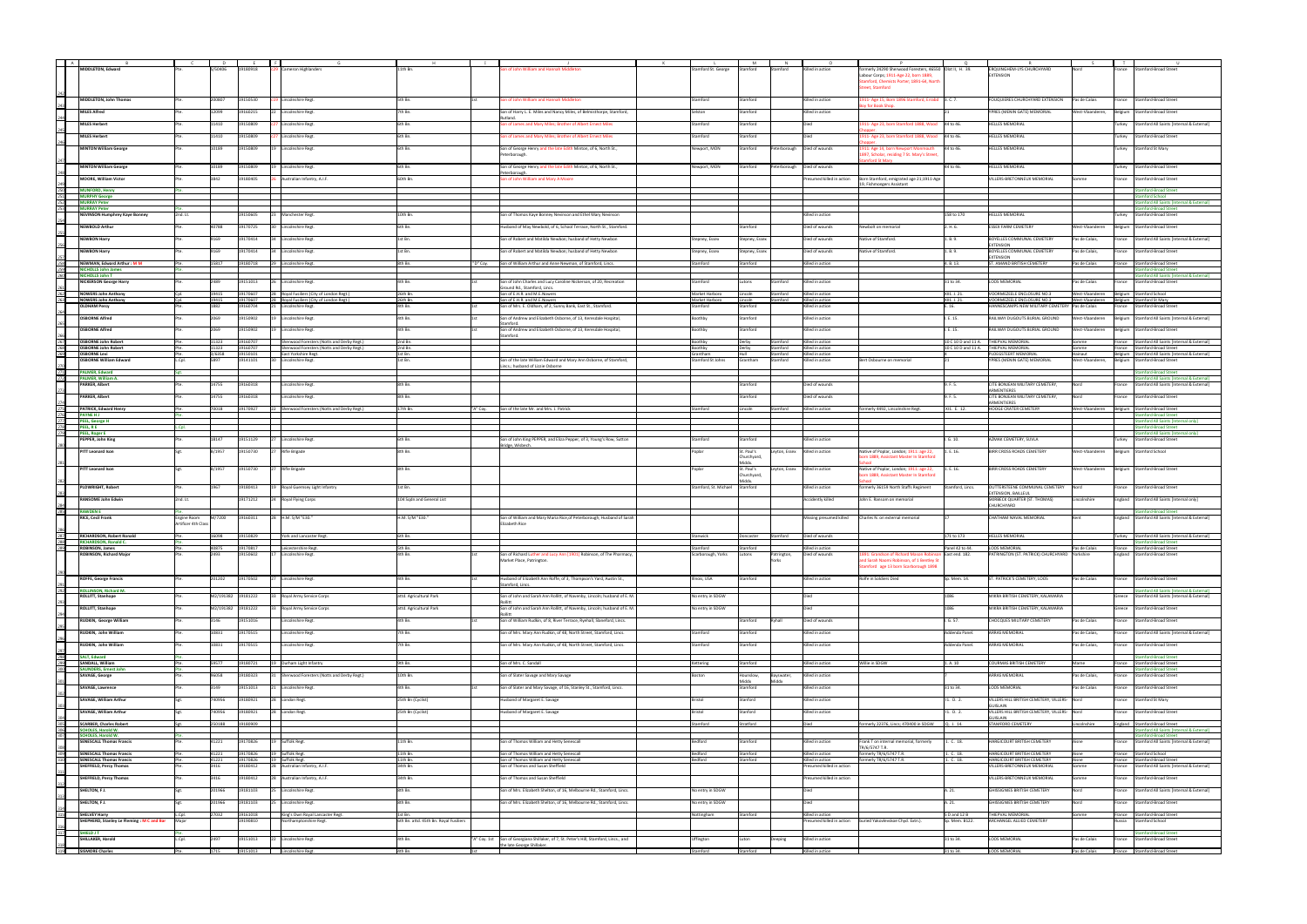| A                               |                                                                    |                     |                 |                      |                                                                          |                                                  |                                                                                                   |                                |                            |                                |                                             |                                                                                               |                                |                                                                               |                  |                                                                                                  |
|---------------------------------|--------------------------------------------------------------------|---------------------|-----------------|----------------------|--------------------------------------------------------------------------|--------------------------------------------------|---------------------------------------------------------------------------------------------------|--------------------------------|----------------------------|--------------------------------|---------------------------------------------|-----------------------------------------------------------------------------------------------|--------------------------------|-------------------------------------------------------------------------------|------------------|--------------------------------------------------------------------------------------------------|
|                                 | MIDDLETON, Edward                                                  |                     | S/50406         | 19180918             | Cameron Highlanders                                                      | 11th Bn.                                         | on of John William and Hannah Middlet                                                             | stamford St. George            |                            |                                | Gilled in action                            | merly 24290 Sherwood Foresters, 46550 Olot II, H. 39.<br>abour Corps; 1911-Age 22, born 1889, |                                | ERQUINGHEM-LYS CHURCHYARD<br><b>EXTENSION</b>                                 |                  | <b>Stamford-Broad Street</b><br>ance                                                             |
|                                 |                                                                    |                     |                 |                      |                                                                          |                                                  |                                                                                                   |                                |                            |                                |                                             | imford, Chemists Porter; 1891-64, North                                                       |                                |                                                                               |                  |                                                                                                  |
|                                 |                                                                    |                     |                 |                      |                                                                          |                                                  |                                                                                                   |                                |                            |                                |                                             | reet, Stamford                                                                                |                                |                                                                               |                  |                                                                                                  |
|                                 | MIDDLETON, John Thomas                                             |                     | 200807          | 19150530             | 19 Lincolnshire Regt.                                                    | 5th Bn.                                          | on of John William and Hannah Middleton                                                           | Stamford                       | Stamford                   |                                | Killed in action                            | 911- Age 15, Born 1896 Stamford, Errabd 3. C. 7.                                              |                                | FOUQUIERES CHURCHYARD EXTENSION                                               | Pas de Calais    | <b>Stamford-Broad Street</b><br>rance                                                            |
|                                 |                                                                    |                     |                 |                      |                                                                          |                                                  |                                                                                                   |                                |                            |                                |                                             | for Book Shop                                                                                 |                                |                                                                               |                  |                                                                                                  |
|                                 | <b>MILES Alfred</b>                                                |                     | 12099           | 19160215             | 22 Lincolnshire Regt.                                                    | th Bn.                                           | Son of Harry L. E. Miles and Nancy Miles, of Belmisthorpe, Stamford,                              | Selston                        | Stamford                   |                                | Killed in action                            |                                                                                               |                                | YPRES (MENIN GATE) MEMORIAL                                                   | West-Vlaanderen, | Belgium Stamford-Broad Street                                                                    |
|                                 | <b>MILES Herbert</b>                                               |                     | 11410           | 19150809             | Lincolnshire Regt.                                                       | 6th Bn.                                          | on of James and Mary Miles; Brother of Albert Ernest Miles                                        | Stamford                       | Stamford                   |                                |                                             | 911- Age 23, born Stamford 1888, Wood 44 to 46.                                               |                                | <b>HELLES MEMORIAL</b>                                                        |                  | Stamford All Saints [Internal & External]<br>Turkey                                              |
|                                 | <b>MILES Herbert</b>                                               |                     | 11410           | 19150809             | Lincolnshire Regt.                                                       | 6th Bn.                                          | on of James and Mary Miles; Brother of Albert Ernest Miles                                        | Stamford                       | Stamford                   |                                |                                             | 911- Age 23, born Stamford 1888, Wood 44 to 46.                                               |                                | HELLES MEMORIAL                                                               |                  | Turkey<br>Stamford-Broad Street                                                                  |
|                                 | <b>MINTON William George</b>                                       |                     | 10189           | 19150809             |                                                                          | 6th Bn.                                          |                                                                                                   | Newport, MON                   |                            |                                |                                             | 911: Age 14, born Newport Monmouth                                                            | 44 to 46.                      | <b>HELLES MEMORIAL</b>                                                        |                  |                                                                                                  |
|                                 |                                                                    |                     |                 |                      | 19 Lincolnshire Regt.                                                    |                                                  | Son of George Henry and the late Edith Minton, of 6, North St.,<br>Peterborough.                  |                                | Stamford                   |                                | Peterborough   Died of wounds               | 197, Scholar, residing 7 St. Mary's Street                                                    |                                |                                                                               |                  | Turkey<br><b>Stamford St Mary</b>                                                                |
|                                 | <b>MINTON William George</b>                                       |                     | 10189           | 19150809             | 19 Lincolnshire Regt.                                                    | 6th Bn.                                          | Son of George Henry and the late Edith Minton, of 6, North St.,                                   | Newport, MON                   | Stamford                   |                                | Peterborough   Died of wounds               | nford St Mary                                                                                 | 44 to 46.                      | <b>HELLES MEMORIAL</b>                                                        |                  | <b>Stamford-Broad Street</b><br>Turkey                                                           |
|                                 |                                                                    |                     |                 |                      |                                                                          |                                                  | eterboroug                                                                                        |                                |                            |                                |                                             |                                                                                               |                                |                                                                               |                  |                                                                                                  |
|                                 | <b>MOORE, William Victor</b>                                       |                     | 3842            | 19180405             | 26 Australian Infantry, A.I.F.                                           | 60th Bn.                                         | on of John William and Mary A Moore                                                               |                                |                            |                                | Presumed killed in action                   | Born Stamford, emigrated age 21;1911-Age<br>9, Fishmongers Assistant                          |                                | VILLERS-BRETONNEUX MEMORIAL                                                   | Somme            | France Stamford-Broad Street                                                                     |
|                                 | <b>MUNFORD, Henry</b>                                              |                     |                 |                      |                                                                          |                                                  |                                                                                                   |                                |                            |                                |                                             |                                                                                               |                                |                                                                               |                  | <b>Stamford-Broad Street</b>                                                                     |
| 250<br>251<br>252               | <b>MURPHY George</b><br><b>MURRAY Peter</b>                        |                     |                 |                      |                                                                          |                                                  |                                                                                                   |                                |                            |                                |                                             |                                                                                               |                                |                                                                               |                  | <b>Imford School</b><br>mford All Saints [Internal & External]                                   |
| 253                             | <b>MURRAY Peter</b>                                                |                     |                 |                      |                                                                          |                                                  |                                                                                                   |                                |                            |                                |                                             |                                                                                               |                                |                                                                               |                  | tamford-Broad Street                                                                             |
|                                 | <b>NEVINSON Humphrey Kaye Bonney</b>                               | 2nd. Lt.            |                 | 19150605             | 23 Manchester Regt.                                                      | 10th Bn.                                         | Son of Thomas Kaye Bonney Nevinson and Ethel Mary Nevinson                                        |                                |                            |                                | Killed in action                            |                                                                                               | 158 to 170                     | HELLES MEMORIAL                                                               |                  | Stamford-Broad Street<br>urkey                                                                   |
|                                 | <b>NEWBOLD Arthur</b>                                              |                     | 40788           | 19170725             | 30 Lincolnshire Regt.                                                    | 6th Bn.                                          | Husband of May Newbold, of 6, School Terrace, North St., Stamford.                                |                                | Stamford                   |                                | Died of wounds                              | <b>Newbolt on memorial</b>                                                                    | 2. H. 6.                       | <b>ESSEX FARM CEMETERY</b>                                                    | West-Vlaanderen  | Belgium Stamford-Broad Street                                                                    |
|                                 | <b>NEWBON Harry</b>                                                |                     | 9169            | 19170414             | 34 Lincolnshire Regt.                                                    | 1st Bn.                                          | Son of Robert and Matilda Newbon; husband of Hetty Newbon                                         | Stepney, Essex                 | Stepney, Essex             |                                | Died of wounds                              | Vative of Stamford.                                                                           | 1. B. 9.                       | <b>BOYELLES COMMUNAL CEMETERY</b>                                             | Pas de Calais,   | France Stamford All Saints [Internal & External]                                                 |
|                                 | <b>NEWBON Harry</b>                                                |                     | 9169            | 19170414             | 34 Lincolnshire Regt.                                                    | st Bn.                                           | Son of Robert and Matilda Newbon; husband of Hetty Newbon                                         | Stepney, Essex                 | stepney, Essex             |                                | Died of wounds                              | lative of Stamford.                                                                           | 1. B. 9.                       | <b>EXTENSION</b><br>BOYELLES COMMUNAL CEMETERY                                | Pas de Calais,   | rance<br><b>Stamford-Broad Street</b>                                                            |
|                                 |                                                                    |                     |                 |                      |                                                                          |                                                  |                                                                                                   |                                |                            |                                |                                             |                                                                                               |                                | <b>CTENSION</b>                                                               |                  |                                                                                                  |
| 258<br>259<br>260               | NEWMAN, Edward Arthur: M M<br><b>NICHOLLS John James</b>           |                     | 15817           | 19180718             | 29 Lincolnshire Regt.                                                    | 8th Bn.                                          | "D" Coy. Son of William Arthur and Anne Newman, of Stamford, Lincs.                               | Stamford                       | Stamford                   |                                | Killed in action                            |                                                                                               | 4. B. 13.                      | ST. AMAND BRITISH CEMETERY                                                    | Pas de Calais    | France Stamford-Broad Street<br><b>Stamford-Broad Street</b>                                     |
|                                 | <b>NICHOLLS John T</b>                                             |                     |                 |                      |                                                                          |                                                  |                                                                                                   |                                |                            |                                |                                             |                                                                                               |                                |                                                                               |                  | tamford All Saints [Internal & External]                                                         |
|                                 | <b>NICKERSON George Harry</b>                                      |                     | 489             | 19151013             | Lincolnshire Regt.                                                       | Ith Bn.                                          | Son of John Charles and Lucy Caroline Nickerson, of 20, Recreation<br>round Rd., Stamford, Lincs. | Stamford                       | itons                      | amford                         | illed in action                             |                                                                                               | 31 to 34.                      | LOOS MEMORIAL                                                                 | as de Calais     | <b>Stamford-Broad Street</b><br>rance                                                            |
| 262                             | <b>NOWERS John Anthony</b>                                         |                     | 19415           | 19170607             | 28 Royal Fusiliers (City of London Regt.)                                | 26th Bn.                                         | Son of E.H.R. and M.E.Nowers                                                                      | Market Harboro                 | Lincoln                    | Stamford                       | Killed in action                            |                                                                                               | XII1. J. 21.                   | VOORMEZEELE ENCLOSURE NO.3                                                    | West-Vlaanderen  | Belgium Stamford School                                                                          |
|                                 | <b>NOWERS John Anthony</b><br><b>OLDHAM Percy</b>                  |                     | 19415<br>1882   | 19170607<br>19160704 | 28 Royal Fusiliers (City of London Regt.)<br>21 Lincolnshire Regt.       | 26th Bn.<br>4th Bn.                              | Son of E.H.R. and M.E.Nowers<br>Son of Mrs. E. Oldham, of 2, Sunny Bank, East St., Stamford.      | Market Harboro<br>Stamford     | Lincoln<br>Stamford        | Stamford                       | Killed in action<br>Killed in action        |                                                                                               | XII1. J. 21.<br>E. 16.         | VOORMEZEELE ENCLOSURE NO.3<br>HANNESCAMPS NEW MILITARY CEMETERY Pas de Calais | West-Vlaanderen  | Belgium Stamford St Mary<br><b>Stamford-Broad Street</b><br>rance                                |
|                                 | <b>OSBORNE Alfred</b>                                              |                     | 2069            | 19150902             | 19 Lincolnshire Regt.                                                    | 4th Bn.                                          | Son of Andrew and Elizabeth Osborne, of 13, Keresdale Hospital,                                   | Boothby                        | Stamford                   |                                | Killed in action                            |                                                                                               | I. E. 15.                      | RAILWAY DUGOUTS BURIAL GROUND                                                 | West-Vlaanderen  | Belgium Stamford All Saints [Internal & External]                                                |
|                                 |                                                                    |                     |                 |                      |                                                                          |                                                  | tamforo                                                                                           |                                |                            |                                |                                             |                                                                                               |                                |                                                                               |                  |                                                                                                  |
|                                 | <b>OSBORNE Alfred</b>                                              |                     | 2069            | 19150902             | 19 Lincolnshire Regt.                                                    | 4th Bn.                                          | Son of Andrew and Elizabeth Osborne, of 13, Keresdale Hospital,<br>amford.                        | Boothby                        | Stamford                   |                                | Killed in action                            |                                                                                               | I. E. 15.                      | RAILWAY DUGOUTS BURIAL GROUND                                                 | West-Vlaanderen  | Belgium Stamford-Broad Street                                                                    |
|                                 | <b>OSBORNE John Robert</b>                                         |                     | 11323           | 19160707             | Sherwood Foresters (Notts and Derby Regt.)                               | 2nd Bn.                                          |                                                                                                   | Boothby                        | Derby                      | Stamford                       | Killed in action                            |                                                                                               |                                | 10 C 10 D and 11 A. THIEPVAL MEMORIAL                                         | Somme            | France Stamford All Saints [Internal & External]                                                 |
| 267<br>268<br>269               | <b>OSBORNE John Robert</b><br><b>OSBORNE Levi</b>                  | Pte.                | 11323<br>3/6358 | 19160707<br>19150101 | Sherwood Foresters (Notts and Derby Regt.)<br><b>East Yorkshire Regt</b> | 2nd Bn.<br>1st Bn.                               |                                                                                                   | Boothby<br>Grantham            | Derby<br>Hull              | Stamford<br>Stamford           | Killed in action<br>Killed in action        |                                                                                               |                                | 10 C 10 D and 11 A. THIEPVAL MEMORIAL<br>PLOEGSTEERT MEMORIAL                 | Somme<br>Hainaut | France Stamford-Broad Street<br>Belgium Stamford All Saints [Internal & External]                |
|                                 | <b>OSBORNE William Edward</b>                                      | L.Cpl.              | 5897            | 19141101             | <b>Lincolnshire Regt</b>                                                 | st Bn.                                           | Son of the late William Edward and Mary Ann Osborne, of Stamford,                                 | Stamford St Johns              | Grantham                   | Stamford                       | illed in action                             | Bert Osbourne on memorial                                                                     |                                | PRES (MENIN GATE) MEMORIAL                                                    | West-Vlaanderen, | Belgium Stamford-Broad Street                                                                    |
| 271                             | <b>PALMER, Edward</b>                                              |                     |                 |                      |                                                                          |                                                  | ncs.; husband of Lizzie Osborne                                                                   |                                |                            |                                |                                             |                                                                                               |                                |                                                                               |                  | tamford-Broad Street                                                                             |
| 272                             | PALMER, William A.<br><b>PARKER, Albert</b>                        |                     | 14755           | 19160318             | Lincolnshire Regt.                                                       | 8th Bn.                                          |                                                                                                   |                                | Stamford                   |                                | Died of wounds                              |                                                                                               | 9. F. 5.                       | CITE BONJEAN MILITARY CEMETERY,                                               | Nord             | Stamford All Saints [Internal & External]<br>Stamford All Saints [Internal & External]<br>rance  |
|                                 |                                                                    |                     |                 |                      |                                                                          |                                                  |                                                                                                   |                                |                            |                                |                                             |                                                                                               |                                | ARMENTIERES                                                                   |                  |                                                                                                  |
|                                 | <b>PARKER, Albert</b>                                              |                     | 14755           | 19160318             | Lincolnshire Regt.                                                       | sth Bn.                                          |                                                                                                   |                                | Stamford                   |                                | Died of wounds                              |                                                                                               | I. F. 5.                       | CITE BONJEAN MILITARY CEMETERY,<br>RMENTIERE!                                 | lord             | <b>Stamford-Broad Street</b><br>rance                                                            |
|                                 | PATRICK, Edward Henry                                              |                     | 70018           | 19170927             | 22 Sherwood Foresters (Notts and Derby Regt.)                            | 17th Bn.                                         | "A" Coy. Son of the late Mr. and Mrs. J. Patrick                                                  | Stamford                       | lincoln.                   | Stamford                       | Killed in action                            | ormerly 4492, Lincolnshire Regt.                                                              | XI1. F. 12.                    | HOOGE CRATER CEMETERY                                                         | West-Vlaanderen  | Belgium Stamford-Broad Street                                                                    |
| 275<br>276<br>277<br>278<br>279 | <b>PAYNE HJ</b><br>PEEL, George H                                  |                     |                 |                      |                                                                          |                                                  |                                                                                                   |                                |                            |                                |                                             |                                                                                               |                                |                                                                               |                  | ford-Broad Street<br>mford All Saints [Internal only                                             |
|                                 | PEEL, R E<br><b>PEEL, Roger E</b>                                  | Cpl.                |                 |                      |                                                                          |                                                  |                                                                                                   |                                |                            |                                |                                             |                                                                                               |                                |                                                                               |                  | mford-Broad Street                                                                               |
|                                 | PEPPER, John King                                                  |                     | 18147           | 19151129             | 27 Lincolnshire Regt.                                                    | ith Bn.                                          | Son of John King PEPPER, and Eliza Pepper, of 3, Young's Row, Sutton                              | Stamford                       | Stamford                   |                                | Killed in action                            |                                                                                               | .G. 10.                        | AZMAK CEMETERY, SUVLA                                                         |                  | tamford All Saints [Internal only]<br>Stamford-Broad Street<br>urkey                             |
|                                 | <b>PITT Leonard Ison</b>                                           |                     | B/1957          | 19150730             | 27 Rifle Brigade                                                         | 8th Bn.                                          | ridge, Wisbec                                                                                     | Poplar                         | St. Paul's                 | Leyton, Essex Killed in action |                                             | Native of Poplar, London; 1911: age 22,                                                       | 1. E. 16.                      | <b>BIRR CROSS ROADS CEMETERY</b>                                              | West-Vlaanderen  | Belgium Stamford School                                                                          |
|                                 |                                                                    |                     |                 |                      |                                                                          |                                                  |                                                                                                   |                                | Churchyard,                |                                |                                             | orn 1889, Assistant Master In Stamford                                                        |                                |                                                                               |                  |                                                                                                  |
|                                 | <b>PITT Leonard Ison</b>                                           | Set.                | B/1957          | 19150730             | 27 Rifle Brigade                                                         | 8th Bn.                                          |                                                                                                   | Poplar                         | <b>Aiddy</b><br>St. Paul's | Leyton, Essex Killed in action |                                             | Native of Poplar, London; 1911: age 22,                                                       | 1. E. 16.                      | <b>BIRR CROSS ROADS CEMETERY</b>                                              | West-Vlaanderen  | Belgium Stamford-Broad Street                                                                    |
|                                 |                                                                    |                     |                 |                      |                                                                          |                                                  |                                                                                                   |                                | hurchyard,                 |                                |                                             | orn 1889, Assistant Master In Stamford                                                        |                                |                                                                               |                  |                                                                                                  |
|                                 | <b>PLOWRIGHT, Robert</b>                                           |                     | 1967            | 19180413             | 19 Royal Guernsey Light Infantry                                         | 1st Bn.                                          |                                                                                                   | Stamford, St. Michael Stamford |                            |                                | Killed in action                            | formerly 36159 North Staffs Regiment                                                          | Stamford, Lincs.               | OUTTERSTEENE COMMUNAL CEMETERY                                                | <b>Nord</b>      | rance Stamford-Broad Street                                                                      |
|                                 | <b>RANSOME John Edwin</b>                                          | 2nd. Lt.            |                 | 19171212             | 24 Royal Flying Corps                                                    | 104 Sqdn and General List                        |                                                                                                   |                                |                            |                                | <b>Accidently killed</b>                    | John E. Ransom on memorial                                                                    |                                | EXTENSION, BAILLEUL<br>SKIRBECK QUARTER (ST. THOMAS)                          | Lincolnshire     | England Stamford All Saints [Internal only]                                                      |
|                                 |                                                                    |                     |                 |                      |                                                                          |                                                  |                                                                                                   |                                |                            |                                |                                             |                                                                                               |                                | HURCHYARD                                                                     |                  |                                                                                                  |
| 285                             | <b>RAWDEN E</b><br><b>RICE, Cecil Frank</b>                        | <b>Engine Room</b>  | M/7200          | 19160311             | 28 H.M. S/M "E30."                                                       | H.M. S/M "E30."                                  | Son of William and Mary Maria Rice, of Peterborough; Husband of Sarah                             |                                |                            |                                | Missing presumed killed                     | Charles N. on external memorial                                                               |                                | CHATHAM NAVAL MEMORIAL                                                        |                  | <b>Stamford-Broad Street</b><br>England Stamford All Saints [Internal & External]                |
|                                 |                                                                    | Artificer 4th Clas: |                 |                      |                                                                          |                                                  | <b>Elizabeth Rice</b>                                                                             |                                |                            |                                |                                             |                                                                                               |                                |                                                                               |                  |                                                                                                  |
| 287<br>287<br>288<br>289        | RICHARDSON, Robert Ronald                                          |                     | 16098           | 19150829             | York and Lancaster Regt.                                                 | 6th Bn.                                          |                                                                                                   | Stanwick                       | Doncaster Stamford         |                                | Died of wounds                              |                                                                                               | 171 to 173                     | <b>HELLES MEMORIAL</b>                                                        |                  | Turkey Stamford All Saints [Internal & External]                                                 |
|                                 | RICHARDSON, Ronald C.<br>ROBINSON, James                           |                     | 40875           | 19170817             | Leicestershire Regt.                                                     | ith Bn.                                          |                                                                                                   | Stamford                       | Stamford                   |                                | Killed in action                            |                                                                                               | Panel 42 to 44.                | LOOS MEMORIAL                                                                 | Pas de Calais    | <b>Stamford-Broad Street</b><br>France Stamford-Broad Street                                     |
|                                 | ROBINSON, Richard Major                                            |                     | 2493            | 19150602             | 17 Lincolnshire Regt.                                                    | 4th Bn.                                          | Son of Richard Luther and Lucy Ann [1901] Robinson, of The Pharmacy,                              | Scarborough, Yorks             | Lutons                     | Patrington,                    | Died of wounds                              | 1891: Grandson of Richard Mason Robinson East end. 182.                                       |                                | PATRINGTON (ST. PATRICK) CHURCHYARD Yorkshire                                 |                  | England Stamford-Broad Street                                                                    |
|                                 |                                                                    |                     |                 |                      |                                                                          |                                                  | Market Place, Patrington.                                                                         |                                |                            | arks.                          |                                             | nd Sarah Naomi Robinson, of 1 Bentley St<br>tamford age 13 born Scarborough 1898              |                                |                                                                               |                  |                                                                                                  |
|                                 | <b>ROFFE, George Francis</b>                                       |                     | 201202          | 19170502             | 27 Lincolnshire Regt.                                                    | 4th Bn.                                          | Husband of Elizabeth Ann Roffe, of 3, Thompson's Yard, Austin St.,                                | Illnois, USA                   | Stamford                   |                                | Killed in action                            | Rolfe in Soldiers Died                                                                        | Sp. Mem. 14.                   | ST. PATRICK'S CEMETERY, LOOS                                                  | Pas de Calais    | France Stamford-Broad Street                                                                     |
|                                 |                                                                    |                     |                 |                      |                                                                          |                                                  | tamford, Lincs.                                                                                   |                                |                            |                                |                                             |                                                                                               |                                |                                                                               |                  |                                                                                                  |
| 292                             | <b>ROLLINSON, Richard M.</b><br><b>ROLLITT, Stanhope</b>           |                     |                 | M2/191382 19181222   | 33 Royal Army Service Corps                                              | attd. Agricultural Park                          | Son of John and Sarah Ann Rollitt, of Navenby, Lincoln; husband of E. M                           | No entry in SDGW               |                            |                                | Died                                        |                                                                                               | 1086                           | MIKRA BRITISH CEMETERY, KALAMARIA                                             |                  | Stamford All Saints [Internal & External]<br>Stamford All Saints [Internal & External]<br>Greece |
|                                 |                                                                    |                     |                 |                      |                                                                          |                                                  |                                                                                                   |                                |                            |                                | Died                                        |                                                                                               | 1086                           |                                                                               |                  |                                                                                                  |
|                                 | ROLLITT, Stanhope                                                  |                     |                 | M2/191382 19181222   | 33 Royal Army Service Corps                                              | attd. Agricultural Park                          | Son of John and Sarah Ann Rollitt, of Navenby, Lincoln; husband of E. M.                          | No entry in SDGW               |                            |                                |                                             |                                                                                               |                                | MIKRA BRITISH CEMETERY, KALAMARIA                                             |                  | Stamford-Broad Street<br>Greece                                                                  |
|                                 | <b>RUDKIN, George William</b>                                      |                     | 3146            | 19151016             | Lincolnshire Regt.                                                       | 4th Bn.                                          | Son of William Rudkin, of 8. River Terrace, Ryehall, Slaneford, Lincs.                            |                                | Stamford                   | Ryhall                         | Died of wounds                              |                                                                                               | G.57.                          | CHOCQUES MILITARY CEMETERY                                                    | Pas de Calais    | France Stamford-Broad Street                                                                     |
|                                 | RUDKIN, John William                                               |                     | 10831           | 19170515             | Lincolnshire Regt.                                                       | 7th Bn.                                          | Son of Mrs. Mary Ann Rudkin, of 48. North Street, Stamford, Lincs.                                | Stamford                       | Stamford                   |                                | Killed in action                            |                                                                                               | Addenda Panel.                 | ARRAS MEMORIAL                                                                | Pas de Calais,   | France Stamford All Saints [Internal & External]                                                 |
|                                 | RUDKIN, John William                                               |                     | 10831           | 19170515             | Lincolnshire Regt.                                                       | 7th Bn.                                          | Son of Mrs. Mary Ann Rudkin, of 48, North Street, Stamford, Lincs.                                | Stamford                       | Stamford                   |                                | Killed in action                            |                                                                                               | Addenda Panel.                 | ARRAS MEMORIAL                                                                | Pas de Calais,   | Stamford-Broad Street<br>France                                                                  |
|                                 | <b>SALT, Edward</b>                                                |                     |                 |                      |                                                                          |                                                  |                                                                                                   |                                |                            |                                |                                             |                                                                                               |                                |                                                                               |                  | amford-Broad Street                                                                              |
| $\frac{297}{298}$               | SANDALL, William                                                   |                     | 59577           | 19180721             | 19 Durham Light Infantry                                                 | th Bn.                                           | Son of Mrs. C. Sandall                                                                            | Kettering                      | itamford                   |                                | illed in action                             | Villie in SDGW                                                                                | . A. 10                        | <b>JURMAS BRITISH CEMETERY</b>                                                | Marne            | Stamford-Broad Street<br>rance                                                                   |
| 300                             | <b>SAUNDERS, Ernest John</b><br><b>SAVAGE, George</b>              |                     | 96058           | 19180323             | 31 Sherwood Foresters (Notts and Derby Regt.)                            | 10th Bn.                                         | Son of Slater Savage and Mary Savage                                                              | Boston                         | Hounslow,                  | Bayswater.                     | Killed in action                            |                                                                                               |                                | <b>ARRAS MEMORIAL</b>                                                         | Pas de Calais    | nford-Broad Street<br>France<br>Stamford-Broad Street                                            |
|                                 |                                                                    |                     |                 |                      |                                                                          |                                                  |                                                                                                   |                                | Middx                      | Middx                          |                                             |                                                                                               |                                |                                                                               |                  |                                                                                                  |
|                                 | <b>SAVAGE, Lawrence</b>                                            |                     | 3149            | 19151013             | 21 Lincolnshire Regt.                                                    | 4th Bn.                                          | Son of Slater and Mary Savage, of 16, Stanley St., Stamford, Lincs.                               |                                | Stamford                   |                                | Killed in action                            |                                                                                               | 31 to 34.                      | LOOS MEMORIAL                                                                 | Pas de Calais    | Stamford-Broad Street<br>rance                                                                   |
|                                 | SAVAGE, William Arthur                                             |                     | 740956          | 19180921             | London Regt.                                                             | 5th Bn (Cyclist)                                 | lusband of Margaret E. Savage                                                                     | Bristol                        | Stanford                   |                                | illed in action                             |                                                                                               | I1. D. 2.                      | /ILLERS HILL BRITISH CEMETERY, VILLERS- Nord<br><b>SUISLAIN</b>               |                  | Stamford St Mary<br>France                                                                       |
|                                 | SAVAGE, William Arthur                                             |                     | 740956          | 19180921             | 28 London Regt.                                                          | 25th Bn (Cyclist)                                | Husband of Margaret E. Savage                                                                     | Bristol                        | Stanford                   |                                | Killed in action                            |                                                                                               | 11. D. 2.                      | VILLERS HILL BRITISH CEMETERY, VILLERS- Nord                                  |                  | France Stamford-Broad Street                                                                     |
|                                 | <b>SCARBER, Charles Robert</b>                                     |                     | 250188          | 19180909             |                                                                          |                                                  |                                                                                                   | Stamford                       | Stratford                  |                                | Died                                        | rmerly 22376, Lincs; 470400 in SDGW                                                           | Q. J. 14.                      | <b>SUISLAIN</b><br>STAMFORD CEMETERY                                          | .incolnshire     | England Stamford-Broad Street                                                                    |
| 304<br>305<br>306<br>307        | <b>SCHOLES, Harold W.</b><br><b>SCHOLES, Harold W.</b>             |                     |                 |                      |                                                                          |                                                  |                                                                                                   |                                |                            |                                |                                             |                                                                                               |                                |                                                                               |                  | Stamford All Saints [Internal & External]                                                        |
|                                 | <b>SENESCALL Thomas Francis</b>                                    |                     | 41221           | 19170826             | 19 Suffolk Regt.                                                         | 1th Bn.                                          | on of Thomas William and Hetty Senescall                                                          | Bedford                        | itamford                   |                                | Killed in action                            | ank T on internal memorial, formerly                                                          | 1. C. 18.                      | ARGICOURT BRITISH CEMETERY                                                    |                  | <b>Stamford-Broad Street</b><br>Stamford All Saints [Internal & External]<br>ance                |
|                                 | <b>SENESCALL Thomas Francis</b>                                    |                     | 41221           | 19170826             | 19 Suffolk Regt.                                                         | 11th Bn.                                         | Son of Thomas William and Hetty Senescall                                                         | Bedford                        | Stamford                   |                                | Killed in action                            | R/6/5747 T.R.<br>ormerly TR/6/5747 T.R.                                                       | 1. C. 18.                      | HARGICOURT BRITISH CEMETERY                                                   | Aisne            | France Stamford School                                                                           |
| 308<br>309<br>310               | <b>SENESCALL Thomas Francis</b>                                    |                     | 41221           | 19170826             | 19 Suffolk Regt.                                                         | 11th Bn.                                         | Son of Thomas William and Hetty Senescall                                                         | Bedford                        | Stamford                   |                                | Killed in action                            | merly TR/6/5747 T.R.                                                                          | 1. C. 18.                      | HARGICOURT BRITISH CEMETERY                                                   | Aisne            | France Stamford-Broad Street                                                                     |
|                                 | <b>SHEFFIELD, Percy Thomas</b>                                     |                     | 3416            | 19180412             | 28 Australian Infantry, A.I.F.                                           | 34th Bn.                                         | Son of Thomas and Susan Sheffield                                                                 |                                |                            |                                | resumed killed in action                    |                                                                                               |                                | VILLERS-BRETONNEUX MEMORIAL                                                   | <b>Omme</b>      | France Stamford All Saints [Internal & External]                                                 |
|                                 | <b>SHEFFIELD, Percy Thomas</b>                                     |                     | 3416            | 19180412             | 28 Australian Infantry, A.I.F.                                           | 34th Bn.                                         | Son of Thomas and Susan Sheffield                                                                 |                                |                            |                                | esumed killed in action                     |                                                                                               |                                | /ILLERS-BRETONNEUX MEMORIAL                                                   | mme              | France Stamford-Broad Street                                                                     |
|                                 | SHELTON, FJ.                                                       |                     | 201966          | 19181103             | 25 Lincolnshire Regt.                                                    | 8th Bn.                                          | Son of Mrs. Elizabeth Shelton, of 16. Melbourne Rd., Stamford, Lincs.                             | No entry in SDGW               |                            |                                | Died                                        |                                                                                               | A. 21.                         | GHISSIGNIES BRITISH CEMETERY                                                  | Nord             | France Stamford All Saints [Internal & External]                                                 |
|                                 | SHELTON, FJ.                                                       |                     | 201966          | 19181103             | 25 Lincolnshire Regt.                                                    | 8th Bn.                                          | Son of Mrs. Elizabeth Shelton, of 16, Melbourne Rd., Stamford, Lincs.                             | No entry in SDGW               |                            |                                | Died                                        |                                                                                               | A. 21.                         | GHISSIGNIES BRITISH CEMETERY                                                  | Nord             | Stamford-Broad Street<br>rance                                                                   |
|                                 |                                                                    |                     |                 |                      |                                                                          |                                                  |                                                                                                   |                                |                            |                                |                                             |                                                                                               |                                |                                                                               |                  |                                                                                                  |
| $\overline{315}$                | <b>SHELVEY Harry</b><br>SHEPHERD, Stanley Le Fleming : M C and Bar | Major               | 27032           | 19161018<br>19190810 | King's Own Royal Lancaster Regt.<br>Northamptonshire Regt                | st Bn.<br>6th Bn. attd. 45th Bn. Royal Fusiliers |                                                                                                   | Nottingham                     | Stamford                   |                                | Killed in action<br>esumed killed in action | buried Yakovlevskoe Chyd. Extn.).                                                             | 5 D and 12 B<br>Sp. Mem. B122. | THIEPVAL MEMORIAL<br>ARCHANGEL ALLIED CEMETERY                                | Somme            | France Stamford-Broad Street<br>Stamford School<br>tussia                                        |
| $\frac{310}{317}$               | <b>SHIELD JT</b>                                                   |                     |                 |                      |                                                                          |                                                  |                                                                                                   |                                |                            |                                |                                             |                                                                                               |                                |                                                                               |                  | <b>Stamford-Broad Street</b>                                                                     |
|                                 | SHILLAKER, Harold                                                  | L.Cpl.              | 2497            | 19151013             | 22 Lincolnshire Regt.                                                    | 4th Bn.                                          | "A" Coy. 1st Son of Georgiana Shillaker, of 7, St. Peter's Hill, Stamford, Lincs., and            | Uffington                      | Luton                      | Deeping                        | Killed in action                            |                                                                                               | 31 to 34.                      | LOOS MEMORIAL                                                                 | Pas de Calais    | Stamford-Broad Street<br>rance                                                                   |
|                                 | 319 SISMORE Charles                                                |                     |                 |                      | 19151013 Lincolnshire Regt.                                              | 4th Bn.                                          | the late George Shillaker.                                                                        | Stamford                       | Stamford                   |                                | Killed in action                            |                                                                                               | 31 to 34.                      | LOOS MEMORIAL                                                                 | Pas de Calais    | France Stamford-Broad Street                                                                     |